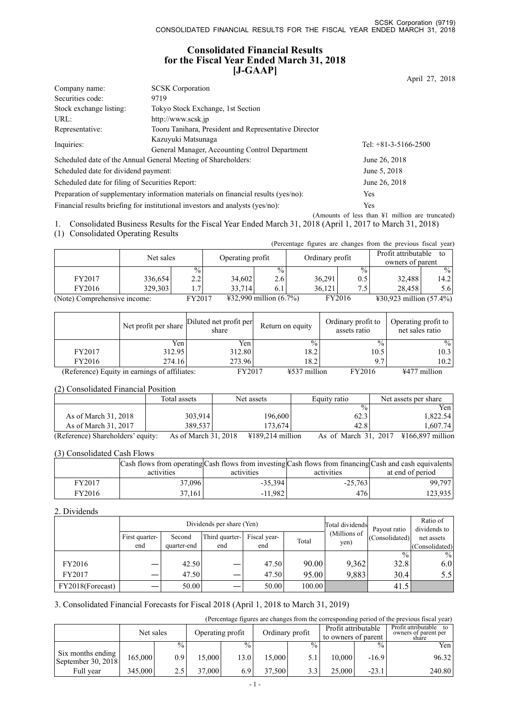### **Consolidated Financial Results for the Fiscal Year Ended March 31, 2018 [J-GAAP]**

|                                                 |                                                                                   | April 27, 2018                                             |
|-------------------------------------------------|-----------------------------------------------------------------------------------|------------------------------------------------------------|
| Company name:                                   | <b>SCSK</b> Corporation                                                           |                                                            |
| Securities code:                                | 9719                                                                              |                                                            |
| Stock exchange listing:                         | Tokyo Stock Exchange, 1st Section                                                 |                                                            |
| URL:                                            | http://www.scsk.jp                                                                |                                                            |
| Representative:                                 | Tooru Tanihara, President and Representative Director                             |                                                            |
|                                                 | Kazuyuki Matsunaga                                                                | Tel: $+81-3-5166-2500$                                     |
| Inquiries:                                      | General Manager, Accounting Control Department                                    |                                                            |
|                                                 | Scheduled date of the Annual General Meeting of Shareholders:                     | June 26, 2018                                              |
| Scheduled date for dividend payment:            |                                                                                   | June 5, 2018                                               |
| Scheduled date for filing of Securities Report: |                                                                                   | June 26, 2018                                              |
|                                                 | Preparation of supplementary information materials on financial results (yes/no): | <b>Yes</b>                                                 |
|                                                 | Financial results briefing for institutional investors and analysts (yes/no):     | <b>Yes</b>                                                 |
|                                                 |                                                                                   | (Amounts of less than $\frac{1}{2}$ million are truncated) |

1. Consolidated Business Results for the Fiscal Year Ended March 31, 2018 (April 1, 2017 to March 31, 2018)

(1) Consolidated Operating Results

|                              |           |               |                  |                                  |                 |               | (Percentage figures are changes from the previous fiscal year) |               |
|------------------------------|-----------|---------------|------------------|----------------------------------|-----------------|---------------|----------------------------------------------------------------|---------------|
|                              |           |               |                  |                                  |                 |               | Profit attributable                                            | to            |
|                              | Net sales |               | Operating profit |                                  | Ordinary profit |               | owners of parent                                               |               |
|                              |           | $\frac{0}{0}$ |                  | $\frac{0}{0}$                    |                 | $\frac{0}{0}$ |                                                                | $\frac{0}{0}$ |
| FY2017                       | 336,654   | 2.2           | 34,602           | 2.6                              | 36,291          | 0.5           | 32,488                                                         | 14.2          |
| FY2016                       | 329,303   | $1.7^{\circ}$ | 33.714           | 6.1                              | 36.121          | $7.5^{\circ}$ | 28.458                                                         | 5.61          |
| (Note) Comprehensive income: |           | FY2017        |                  | $\text{\#32,990}$ million (6.7%) |                 | FY2016        | $\text{\#30,923}$ million (57.4%)                              |               |

|        | Net profit per share                          | Diluted net profit per<br>share | Return on equity | Ordinary profit to<br>assets ratio | Operating profit to<br>net sales ratio |
|--------|-----------------------------------------------|---------------------------------|------------------|------------------------------------|----------------------------------------|
|        | Yen                                           | Yen                             | $\frac{0}{0}$    | $\frac{0}{0}$                      | $\%$                                   |
| FY2017 | 312.95                                        | 312.80                          | 18.2             | 10.5                               | 10.3                                   |
| FY2016 | 274.16                                        | 273.96                          | 18.2             | 9.7                                | 10.2                                   |
|        | (Reference) Equity in earnings of affiliates: | FY2017                          | ¥537 million     | FY2016                             | ¥477 million                           |

#### (2) Consolidated Financial Position

|                                   | Total assets         | Net assets                            | Equity ratio         | Net assets per share       |
|-----------------------------------|----------------------|---------------------------------------|----------------------|----------------------------|
|                                   |                      |                                       | $\frac{0}{0}$        | Yen                        |
| As of March 31, 2018              | 303.914              | 196.600                               | 62.3                 | 1,822.54                   |
| As of March 31, 2017              | 389.537              | 173.6741                              | 42.8                 | 1.607.74                   |
| (Reference) Shareholders' equity: | As of March 31, 2018 | $\text{\textsterling}189.214$ million | As of March 31, 2017 | $\text{\#}166.897$ million |

#### (3) Consolidated Cash Flows

|        | Cash flows from operating Cash flows from investing Cash flows from financing Cash and cash equivalents |            |            |                  |
|--------|---------------------------------------------------------------------------------------------------------|------------|------------|------------------|
|        | activities                                                                                              | activities | activities | at end of period |
| FY2017 | 37,096                                                                                                  | $-35.394$  | $-25.763$  | 99.7971          |
| FY2016 | 37,161                                                                                                  | $-11.982$  | 4761       | 123,935          |

#### 2. Dividends

|                  |                |             | Dividends per share (Yen) | Total dividends | Payout ratio | Ratio of<br>dividends to |                |                 |
|------------------|----------------|-------------|---------------------------|-----------------|--------------|--------------------------|----------------|-----------------|
|                  | First quarter- | Second      | Third quarter-            | Fiscal year-    | Total        | (Millions of             | (Consolidated) | net assets      |
|                  | end            | quarter-end | end                       | end             |              | yen)                     |                | (Consolidated)  |
|                  |                |             |                           |                 |              |                          | $\frac{0}{0}$  | $\frac{9}{6}$ 1 |
| FY2016           |                | 42.50       |                           | 47.50           | 90.00        | 9.362                    | 32.8           | 6.0             |
| FY2017           |                | 47.50       |                           | 47.50           | 95.00        | 9,883                    | 30.4           | 5.5             |
| FY2018(Forecast) |                | 50.00       |                           | 50.00           | 100.00       |                          | 41.5           |                 |

### 3. Consolidated Financial Forecasts for Fiscal 2018 (April 1, 2018 to March 31, 2019)

(Percentage figures are changes from the corresponding period of the previous fiscal year)

|                                         | Net sales |               | Operating profit |                   | Ordinary profit |               | Profit attributable<br>to owners of parent |               | Profit attributable<br>owners of parent per<br>share |
|-----------------------------------------|-----------|---------------|------------------|-------------------|-----------------|---------------|--------------------------------------------|---------------|------------------------------------------------------|
|                                         |           | $\frac{0}{0}$ |                  | $\frac{0}{6}$ .   |                 | $\frac{0}{0}$ |                                            | $\frac{0}{0}$ | Yen                                                  |
| Six months ending<br>September 30, 2018 | 165,000   | 0.91          | 15.000           | 13.0 <sup>1</sup> | 15.000          | 5.1           | 10.000                                     | $-16.9$       | 96.32                                                |
| Full vear                               | 345,000   | 2.5           | 37,000           | 6.9               | 37,500          | 3.3           | 25,000                                     | $-23.1$       | 240.80                                               |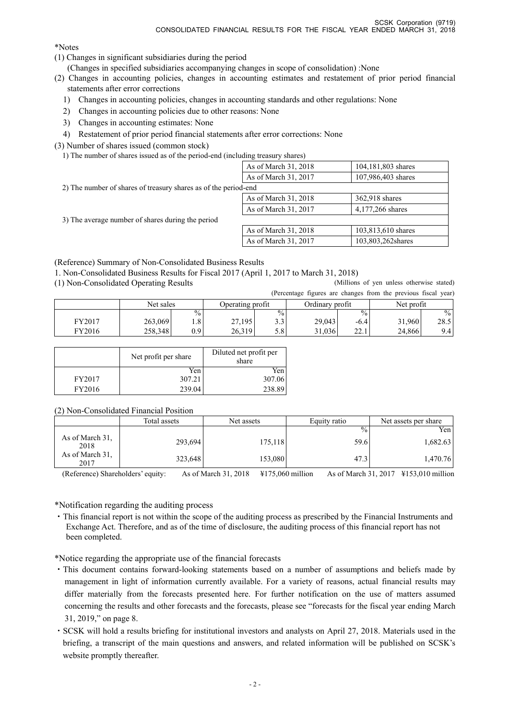\*Notes

- (1) Changes in significant subsidiaries during the period
	- (Changes in specified subsidiaries accompanying changes in scope of consolidation) :None
- (2) Changes in accounting policies, changes in accounting estimates and restatement of prior period financial statements after error corrections
	- 1) Changes in accounting policies, changes in accounting standards and other regulations: None
	- 2) Changes in accounting policies due to other reasons: None
	- 3) Changes in accounting estimates: None
- 4) Restatement of prior period financial statements after error corrections: None

(3) Number of shares issued (common stock)

1) The number of shares issued as of the period-end (including treasury shares)

|                                                                 | As of March 31, 2018 | 104,181,803 shares |
|-----------------------------------------------------------------|----------------------|--------------------|
|                                                                 | As of March 31, 2017 | 107,986,403 shares |
| 2) The number of shares of treasury shares as of the period-end |                      |                    |
|                                                                 | As of March 31, 2018 | 362,918 shares     |
|                                                                 | As of March 31, 2017 | 4,177,266 shares   |
| 3) The average number of shares during the period               |                      |                    |
|                                                                 | As of March 31, 2018 | 103,813,610 shares |
|                                                                 | As of March 31, 2017 | 103,803,262 shares |

(Reference) Summary of Non-Consolidated Business Results

1. Non-Consolidated Business Results for Fiscal 2017 (April 1, 2017 to March 31, 2018)

(1) Non-Consolidated Operating Results (Millions of yen unless otherwise stated)

|        |           |        |                  |               |                 |               | (Percentage figures are changes from the previous fiscal year) |               |
|--------|-----------|--------|------------------|---------------|-----------------|---------------|----------------------------------------------------------------|---------------|
|        | Net sales |        | Operating profit |               | Ordinary profit |               | Net profit                                                     |               |
|        |           | $\%$ . |                  | $\frac{0}{0}$ |                 | $\frac{0}{0}$ |                                                                | $\frac{0}{0}$ |
| FY2017 | 263,069   |        | 27,195           | 3.3           | 29,043          | $-6.4$        | 31,960                                                         | 28.5          |
| FY2016 | 258,348   | 0.9 I  | 26.319           | 5.81          | 31.036          | 221<br>44. L  | 24.866                                                         | 9.4           |

|        | Net profit per share | Diluted net profit per<br>share |
|--------|----------------------|---------------------------------|
|        | Yen                  | Yen                             |
| FY2017 | 307.21               | 307.06                          |
| FY2016 | 239.04               | 238.89                          |

(2) Non-Consolidated Financial Position

|                         | Total assets | Net assets |               | Net assets per share |
|-------------------------|--------------|------------|---------------|----------------------|
|                         |              |            | $\frac{0}{0}$ | Yen l                |
| As of March 31,<br>2018 | 293,694      | 175,118    | 59.6          | 1,682.63             |
| As of March 31,<br>2017 | 323,648      | 153,080    | 47.3          | 1,470.76             |

(Reference) Shareholders' equity: As of March 31, 2018 ¥175,060 million As of March 31, 2017 ¥153,010 million

\*Notification regarding the auditing process

・This financial report is not within the scope of the auditing process as prescribed by the Financial Instruments and Exchange Act. Therefore, and as of the time of disclosure, the auditing process of this financial report has not been completed.

\*Notice regarding the appropriate use of the financial forecasts

- ・This document contains forward-looking statements based on a number of assumptions and beliefs made by management in light of information currently available. For a variety of reasons, actual financial results may differ materially from the forecasts presented here. For further notification on the use of matters assumed concerning the results and other forecasts and the forecasts, please see "forecasts for the fiscal year ending March 31, 2019," on page 8.
- ・SCSK will hold a results briefing for institutional investors and analysts on April 27, 2018. Materials used in the briefing, a transcript of the main questions and answers, and related information will be published on SCSK's website promptly thereafter.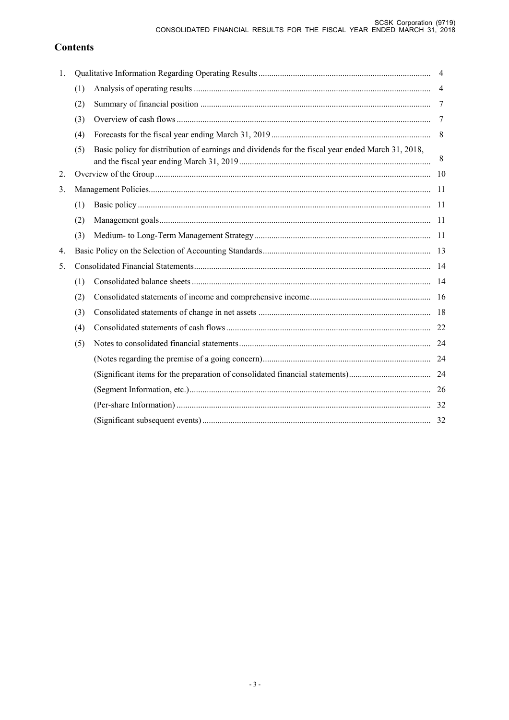# **Contents**

| 1. |     |                                                                                                   | $\overline{4}$ |
|----|-----|---------------------------------------------------------------------------------------------------|----------------|
|    | (1) |                                                                                                   | $\overline{4}$ |
|    | (2) |                                                                                                   | 7              |
|    | (3) |                                                                                                   | 7              |
|    | (4) |                                                                                                   | 8              |
|    | (5) | Basic policy for distribution of earnings and dividends for the fiscal year ended March 31, 2018, | 8              |
| 2. |     |                                                                                                   | -10            |
| 3. |     |                                                                                                   |                |
|    | (1) |                                                                                                   |                |
|    | (2) |                                                                                                   |                |
|    | (3) |                                                                                                   |                |
| 4. |     |                                                                                                   |                |
| 5. |     |                                                                                                   |                |
|    | (1) |                                                                                                   |                |
|    | (2) |                                                                                                   |                |
|    | (3) |                                                                                                   |                |
|    | (4) |                                                                                                   |                |
|    | (5) |                                                                                                   |                |
|    |     |                                                                                                   |                |
|    |     |                                                                                                   |                |
|    |     |                                                                                                   |                |
|    |     |                                                                                                   |                |
|    |     |                                                                                                   |                |
|    |     |                                                                                                   |                |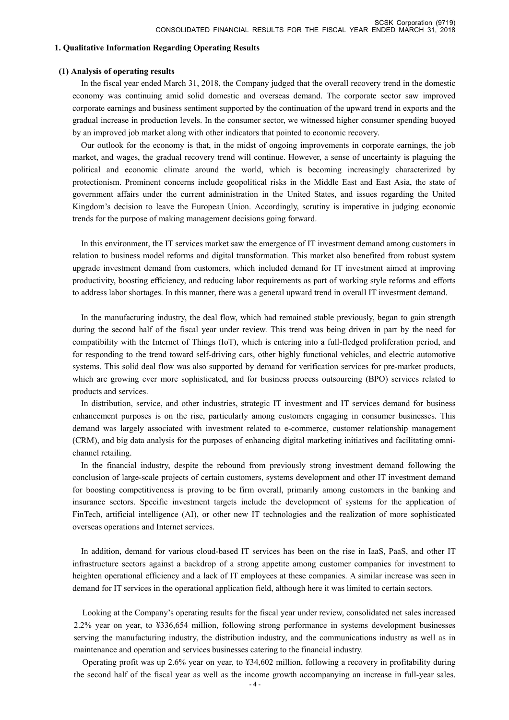#### **1. Qualitative Information Regarding Operating Results**

#### **(1) Analysis of operating results**

In the fiscal year ended March 31, 2018, the Company judged that the overall recovery trend in the domestic economy was continuing amid solid domestic and overseas demand. The corporate sector saw improved corporate earnings and business sentiment supported by the continuation of the upward trend in exports and the gradual increase in production levels. In the consumer sector, we witnessed higher consumer spending buoyed by an improved job market along with other indicators that pointed to economic recovery.

Our outlook for the economy is that, in the midst of ongoing improvements in corporate earnings, the job market, and wages, the gradual recovery trend will continue. However, a sense of uncertainty is plaguing the political and economic climate around the world, which is becoming increasingly characterized by protectionism. Prominent concerns include geopolitical risks in the Middle East and East Asia, the state of government affairs under the current administration in the United States, and issues regarding the United Kingdom's decision to leave the European Union. Accordingly, scrutiny is imperative in judging economic trends for the purpose of making management decisions going forward.

In this environment, the IT services market saw the emergence of IT investment demand among customers in relation to business model reforms and digital transformation. This market also benefited from robust system upgrade investment demand from customers, which included demand for IT investment aimed at improving productivity, boosting efficiency, and reducing labor requirements as part of working style reforms and efforts to address labor shortages. In this manner, there was a general upward trend in overall IT investment demand.

In the manufacturing industry, the deal flow, which had remained stable previously, began to gain strength during the second half of the fiscal year under review. This trend was being driven in part by the need for compatibility with the Internet of Things (IoT), which is entering into a full-fledged proliferation period, and for responding to the trend toward self-driving cars, other highly functional vehicles, and electric automotive systems. This solid deal flow was also supported by demand for verification services for pre-market products, which are growing ever more sophisticated, and for business process outsourcing (BPO) services related to products and services.

In distribution, service, and other industries, strategic IT investment and IT services demand for business enhancement purposes is on the rise, particularly among customers engaging in consumer businesses. This demand was largely associated with investment related to e-commerce, customer relationship management (CRM), and big data analysis for the purposes of enhancing digital marketing initiatives and facilitating omnichannel retailing.

In the financial industry, despite the rebound from previously strong investment demand following the conclusion of large-scale projects of certain customers, systems development and other IT investment demand for boosting competitiveness is proving to be firm overall, primarily among customers in the banking and insurance sectors. Specific investment targets include the development of systems for the application of FinTech, artificial intelligence (AI), or other new IT technologies and the realization of more sophisticated overseas operations and Internet services.

In addition, demand for various cloud-based IT services has been on the rise in IaaS, PaaS, and other IT infrastructure sectors against a backdrop of a strong appetite among customer companies for investment to heighten operational efficiency and a lack of IT employees at these companies. A similar increase was seen in demand for IT services in the operational application field, although here it was limited to certain sectors.

Looking at the Company's operating results for the fiscal year under review, consolidated net sales increased 2.2% year on year, to ¥336,654 million, following strong performance in systems development businesses serving the manufacturing industry, the distribution industry, and the communications industry as well as in maintenance and operation and services businesses catering to the financial industry.

Operating profit was up 2.6% year on year, to ¥34,602 million, following a recovery in profitability during the second half of the fiscal year as well as the income growth accompanying an increase in full-year sales.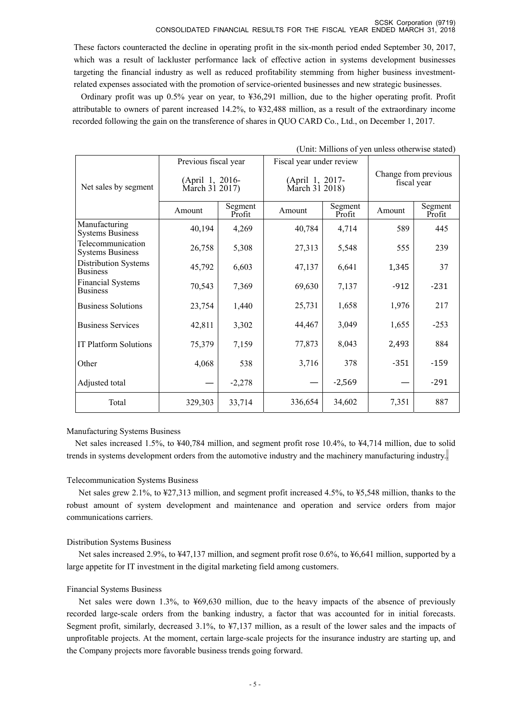#### SCSK Corporation (9719) CONSOLIDATED FINANCIAL RESULTS FOR THE FISCAL YEAR ENDED MARCH 31, 2018

These factors counteracted the decline in operating profit in the six-month period ended September 30, 2017, which was a result of lackluster performance lack of effective action in systems development businesses targeting the financial industry as well as reduced profitability stemming from higher business investmentrelated expenses associated with the promotion of service-oriented businesses and new strategic businesses.

Ordinary profit was up 0.5% year on year, to ¥36,291 million, due to the higher operating profit. Profit attributable to owners of parent increased 14.2%, to ¥32,488 million, as a result of the extraordinary income recorded following the gain on the transference of shares in QUO CARD Co., Ltd., on December 1, 2017.

|                                              | Previous fiscal year              |                   | Fiscal year under review          |                   |                                     |                   |
|----------------------------------------------|-----------------------------------|-------------------|-----------------------------------|-------------------|-------------------------------------|-------------------|
| Net sales by segment                         | (April 1, 2016-<br>March 31 2017) |                   | (April 1, 2017-<br>March 31 2018) |                   | Change from previous<br>fiscal year |                   |
|                                              | Amount                            | Segment<br>Profit | Amount                            | Segment<br>Profit | Amount                              | Segment<br>Profit |
| Manufacturing<br><b>Systems Business</b>     | 40,194                            | 4,269             | 40,784                            | 4,714             | 589                                 | 445               |
| Telecommunication<br><b>Systems Business</b> | 26,758                            | 5,308             | 27,313                            | 5,548             | 555                                 | 239               |
| Distribution Systems<br><b>Business</b>      | 45,792                            | 6,603             | 47,137                            | 6,641             | 1,345                               | 37                |
| <b>Financial Systems</b><br><b>Business</b>  | 70,543                            | 7,369             | 69,630                            | 7,137             | $-912$                              | $-231$            |
| <b>Business Solutions</b>                    | 23,754                            | 1,440             | 25,731                            | 1,658             | 1,976                               | 217               |
| <b>Business Services</b>                     | 42,811                            | 3,302             | 44,467                            | 3,049             | 1,655                               | $-253$            |
| IT Platform Solutions                        | 75,379                            | 7,159             | 77,873                            | 8,043             | 2,493                               | 884               |
| Other                                        | 4,068                             | 538               | 3,716                             | 378               | $-351$                              | $-159$            |
| Adjusted total                               |                                   | $-2,278$          |                                   | $-2,569$          |                                     | $-291$            |
| Total                                        | 329,303                           | 33,714            | 336,654                           | 34,602            | 7,351                               | 887               |

#### (Unit: Millions of yen unless otherwise stated)

#### Manufacturing Systems Business

Net sales increased 1.5%, to ¥40,784 million, and segment profit rose 10.4%, to ¥4,714 million, due to solid trends in systems development orders from the automotive industry and the machinery manufacturing industry..

#### Telecommunication Systems Business

Net sales grew 2.1%, to ¥27,313 million, and segment profit increased 4.5%, to ¥5,548 million, thanks to the robust amount of system development and maintenance and operation and service orders from major communications carriers.

#### Distribution Systems Business

Net sales increased 2.9%, to ¥47,137 million, and segment profit rose 0.6%, to ¥6,641 million, supported by a large appetite for IT investment in the digital marketing field among customers.

#### Financial Systems Business

Net sales were down 1.3%, to ¥69,630 million, due to the heavy impacts of the absence of previously recorded large-scale orders from the banking industry, a factor that was accounted for in initial forecasts. Segment profit, similarly, decreased 3.1%, to ¥7,137 million, as a result of the lower sales and the impacts of unprofitable projects. At the moment, certain large-scale projects for the insurance industry are starting up, and the Company projects more favorable business trends going forward.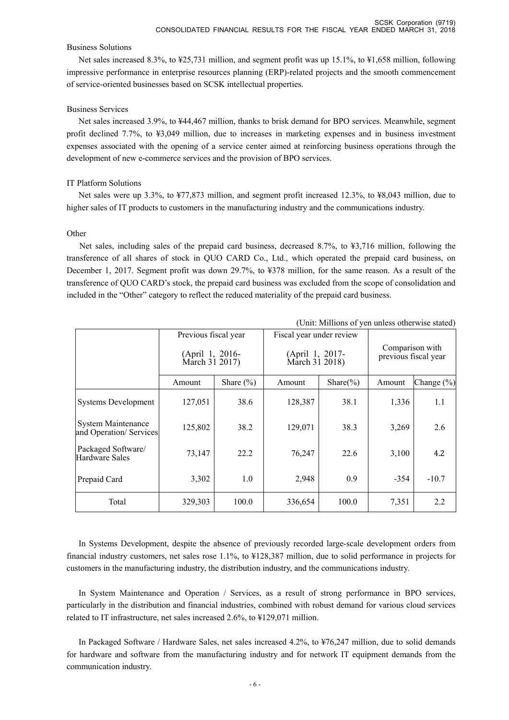#### Business Solutions

Net sales increased 8.3%, to ¥25,731 million, and segment profit was up 15.1%, to ¥1,658 million, following impressive performance in enterprise resources planning (ERP)-related projects and the smooth commencement of service-oriented businesses based on SCSK intellectual properties.

### Business Services

Net sales increased 3.9%, to ¥44,467 million, thanks to brisk demand for BPO services. Meanwhile, segment profit declined 7.7%, to ¥3,049 million, due to increases in marketing expenses and in business investment expenses associated with the opening of a service center aimed at reinforcing business operations through the development of new e-commerce services and the provision of BPO services.

### IT Platform Solutions

Net sales were up 3.3%, to ¥77,873 million, and segment profit increased 12.3%, to ¥8,043 million, due to higher sales of IT products to customers in the manufacturing industry and the communications industry.

#### Other

Net sales, including sales of the prepaid card business, decreased 8.7%, to ¥3,716 million, following the transference of all shares of stock in QUO CARD Co., Ltd., which operated the prepaid card business, on December 1, 2017. Segment profit was down 29.7%, to ¥378 million, for the same reason. As a result of the transference of QUO CARD's stock, the prepaid card business was excluded from the scope of consolidation and included in the "Other" category to reflect the reduced materiality of the prepaid card business.

| (Only immons of you amoss otherwise stated)          |                                   |               |                                   |               |                                         |                |
|------------------------------------------------------|-----------------------------------|---------------|-----------------------------------|---------------|-----------------------------------------|----------------|
|                                                      | Previous fiscal year              |               | Fiscal year under review          |               |                                         |                |
|                                                      | (April 1, 2016-<br>March 31 2017) |               | (April 1, 2017-<br>March 31 2018) |               | Comparison with<br>previous fiscal year |                |
|                                                      | Amount                            | Share $(\% )$ | Amount                            | Share $(\% )$ | Amount                                  | Change $(\% )$ |
| <b>Systems Development</b>                           | 127,051                           | 38.6          | 128,387                           | 38.1          | 1,336                                   | 1.1            |
| <b>System Maintenance</b><br>and Operation/ Services | 125,802                           | 38.2          | 129,071                           | 38.3          | 3,269                                   | 2.6            |
| Packaged Software/<br>Hardware Sales                 | 73,147                            | 22.2          | 76,247                            | 22.6          | 3,100                                   | 4.2            |
| Prepaid Card                                         | 3,302                             | 1.0           | 2,948                             | 0.9           | $-354$                                  | $-10.7$        |
| Total                                                | 329,303                           | 100.0         | 336,654                           | 100.0         | 7,351                                   | 2.2            |

(Unit: Millions of yen unless otherwise stated)

In Systems Development, despite the absence of previously recorded large-scale development orders from financial industry customers, net sales rose 1.1%, to ¥128,387 million, due to solid performance in projects for customers in the manufacturing industry, the distribution industry, and the communications industry.

In System Maintenance and Operation / Services, as a result of strong performance in BPO services, particularly in the distribution and financial industries, combined with robust demand for various cloud services related to IT infrastructure, net sales increased 2.6%, to ¥129,071 million.

In Packaged Software / Hardware Sales, net sales increased 4.2%, to ¥76,247 million, due to solid demands for hardware and software from the manufacturing industry and for network IT equipment demands from the communication industry.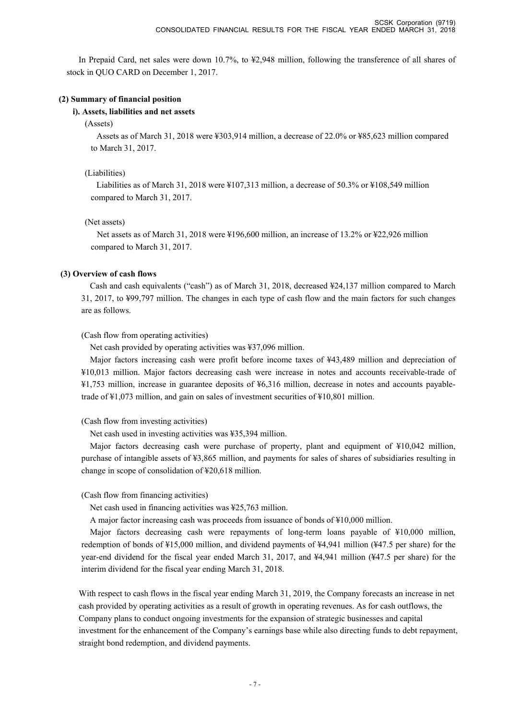In Prepaid Card, net sales were down 10.7%, to ¥2,948 million, following the transference of all shares of stock in QUO CARD on December 1, 2017.

#### **(2) Summary of financial position**

#### **i). Assets, liabilities and net assets**

(Assets)

Assets as of March 31, 2018 were ¥303,914 million, a decrease of 22.0% or ¥85,623 million compared to March 31, 2017.

#### (Liabilities)

Liabilities as of March 31, 2018 were ¥107,313 million, a decrease of 50.3% or ¥108,549 million compared to March 31, 2017.

#### (Net assets)

Net assets as of March 31, 2018 were ¥196,600 million, an increase of 13.2% or ¥22,926 million compared to March 31, 2017.

#### **(3) Overview of cash flows**

Cash and cash equivalents ("cash") as of March 31, 2018, decreased ¥24,137 million compared to March 31, 2017, to ¥99,797 million. The changes in each type of cash flow and the main factors for such changes are as follows.

(Cash flow from operating activities)

Net cash provided by operating activities was ¥37,096 million.

Major factors increasing cash were profit before income taxes of ¥43,489 million and depreciation of ¥10,013 million. Major factors decreasing cash were increase in notes and accounts receivable-trade of ¥1,753 million, increase in guarantee deposits of ¥6,316 million, decrease in notes and accounts payabletrade of ¥1,073 million, and gain on sales of investment securities of ¥10,801 million.

(Cash flow from investing activities)

Net cash used in investing activities was ¥35,394 million.

Major factors decreasing cash were purchase of property, plant and equipment of ¥10,042 million, purchase of intangible assets of ¥3,865 million, and payments for sales of shares of subsidiaries resulting in change in scope of consolidation of ¥20,618 million.

(Cash flow from financing activities)

Net cash used in financing activities was ¥25,763 million.

A major factor increasing cash was proceeds from issuance of bonds of ¥10,000 million.

Major factors decreasing cash were repayments of long-term loans payable of ¥10,000 million, redemption of bonds of ¥15,000 million, and dividend payments of ¥4,941 million (¥47.5 per share) for the year-end dividend for the fiscal year ended March 31, 2017, and ¥4,941 million (¥47.5 per share) for the interim dividend for the fiscal year ending March 31, 2018.

With respect to cash flows in the fiscal year ending March 31, 2019, the Company forecasts an increase in net cash provided by operating activities as a result of growth in operating revenues. As for cash outflows, the Company plans to conduct ongoing investments for the expansion of strategic businesses and capital investment for the enhancement of the Company's earnings base while also directing funds to debt repayment, straight bond redemption, and dividend payments.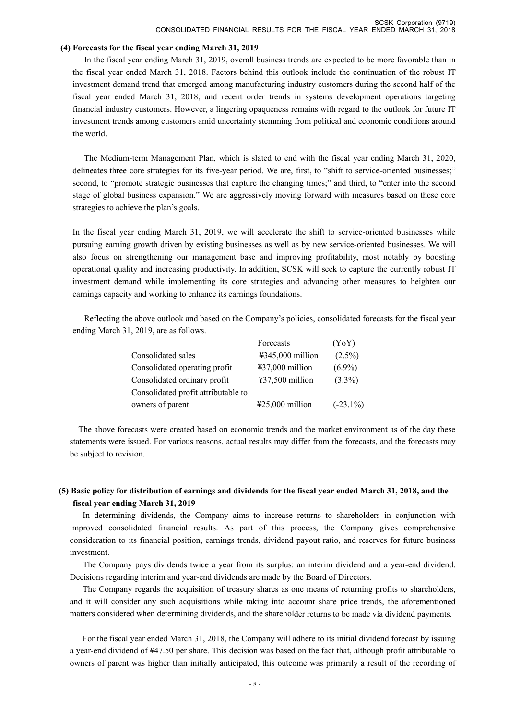#### **(4) Forecasts for the fiscal year ending March 31, 2019**

In the fiscal year ending March 31, 2019, overall business trends are expected to be more favorable than in the fiscal year ended March 31, 2018. Factors behind this outlook include the continuation of the robust IT investment demand trend that emerged among manufacturing industry customers during the second half of the fiscal year ended March 31, 2018, and recent order trends in systems development operations targeting financial industry customers. However, a lingering opaqueness remains with regard to the outlook for future IT investment trends among customers amid uncertainty stemming from political and economic conditions around the world.

The Medium-term Management Plan, which is slated to end with the fiscal year ending March 31, 2020, delineates three core strategies for its five-year period. We are, first, to "shift to service-oriented businesses;" second, to "promote strategic businesses that capture the changing times;" and third, to "enter into the second stage of global business expansion." We are aggressively moving forward with measures based on these core strategies to achieve the plan's goals.

In the fiscal year ending March 31, 2019, we will accelerate the shift to service-oriented businesses while pursuing earning growth driven by existing businesses as well as by new service-oriented businesses. We will also focus on strengthening our management base and improving profitability, most notably by boosting operational quality and increasing productivity. In addition, SCSK will seek to capture the currently robust IT investment demand while implementing its core strategies and advancing other measures to heighten our earnings capacity and working to enhance its earnings foundations.

Reflecting the above outlook and based on the Company's policies, consolidated forecasts for the fiscal year ending March 31, 2019, are as follows.

|                                     | Forecasts                             | (YoY)       |
|-------------------------------------|---------------------------------------|-------------|
| Consolidated sales                  | $\text{\textsterling}345,000$ million | $(2.5\%)$   |
| Consolidated operating profit       | $437,000$ million                     | $(6.9\%)$   |
| Consolidated ordinary profit        | $437,500$ million                     | $(3.3\%)$   |
| Consolidated profit attributable to |                                       |             |
| owners of parent                    | $425,000$ million                     | $(-23.1\%)$ |

The above forecasts were created based on economic trends and the market environment as of the day these statements were issued. For various reasons, actual results may differ from the forecasts, and the forecasts may be subject to revision.

### **(5) Basic policy for distribution of earnings and dividends for the fiscal year ended March 31, 2018, and the fiscal year ending March 31, 2019**

In determining dividends, the Company aims to increase returns to shareholders in conjunction with improved consolidated financial results. As part of this process, the Company gives comprehensive consideration to its financial position, earnings trends, dividend payout ratio, and reserves for future business investment.

The Company pays dividends twice a year from its surplus: an interim dividend and a year-end dividend. Decisions regarding interim and year-end dividends are made by the Board of Directors.

The Company regards the acquisition of treasury shares as one means of returning profits to shareholders, and it will consider any such acquisitions while taking into account share price trends, the aforementioned matters considered when determining dividends, and the shareholder returns to be made via dividend payments.

For the fiscal year ended March 31, 2018, the Company will adhere to its initial dividend forecast by issuing a year-end dividend of ¥47.50 per share. This decision was based on the fact that, although profit attributable to owners of parent was higher than initially anticipated, this outcome was primarily a result of the recording of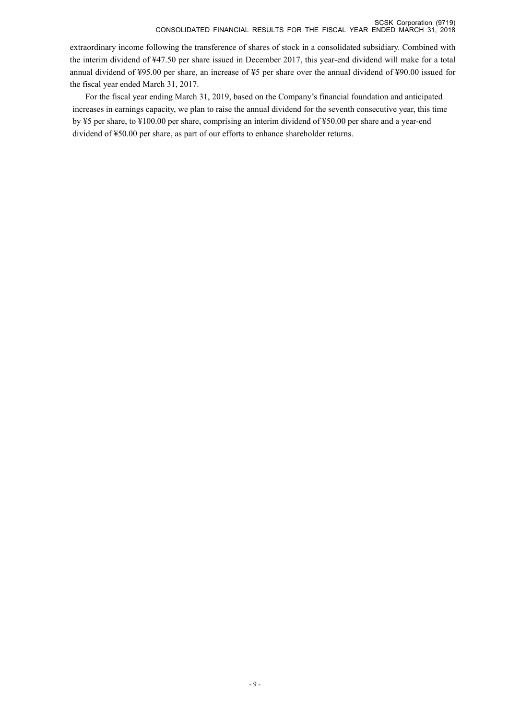extraordinary income following the transference of shares of stock in a consolidated subsidiary. Combined with the interim dividend of ¥47.50 per share issued in December 2017, this year-end dividend will make for a total annual dividend of ¥95.00 per share, an increase of ¥5 per share over the annual dividend of ¥90.00 issued for the fiscal year ended March 31, 2017.

For the fiscal year ending March 31, 2019, based on the Company's financial foundation and anticipated increases in earnings capacity, we plan to raise the annual dividend for the seventh consecutive year, this time by ¥5 per share, to ¥100.00 per share, comprising an interim dividend of ¥50.00 per share and a year-end dividend of ¥50.00 per share, as part of our efforts to enhance shareholder returns.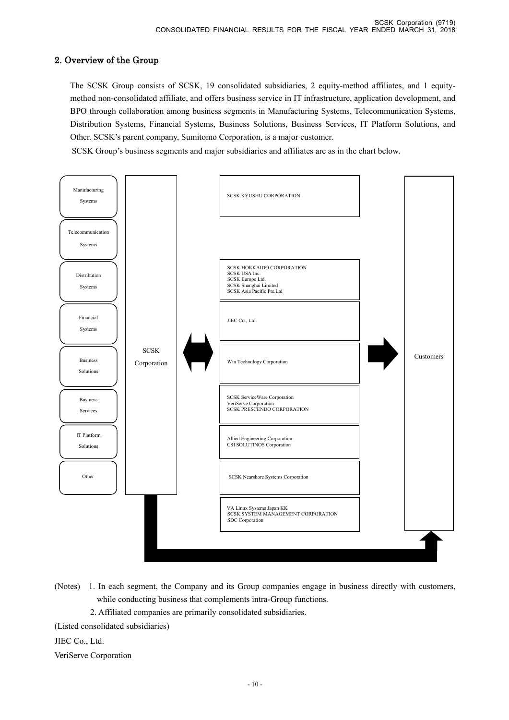# 2. Overview of the Group

 The SCSK Group consists of SCSK, 19 consolidated subsidiaries, 2 equity-method affiliates, and 1 equitymethod non-consolidated affiliate, and offers business service in IT infrastructure, application development, and BPO through collaboration among business segments in Manufacturing Systems, Telecommunication Systems, Distribution Systems, Financial Systems, Business Solutions, Business Services, IT Platform Solutions, and Other. SCSK's parent company, Sumitomo Corporation, is a major customer.

SCSK Group's business segments and major subsidiaries and affiliates are as in the chart below.



- (Notes) 1. In each segment, the Company and its Group companies engage in business directly with customers, while conducting business that complements intra-Group functions.
	- 2. Affiliated companies are primarily consolidated subsidiaries.
- (Listed consolidated subsidiaries)

JIEC Co., Ltd.

VeriServe Corporation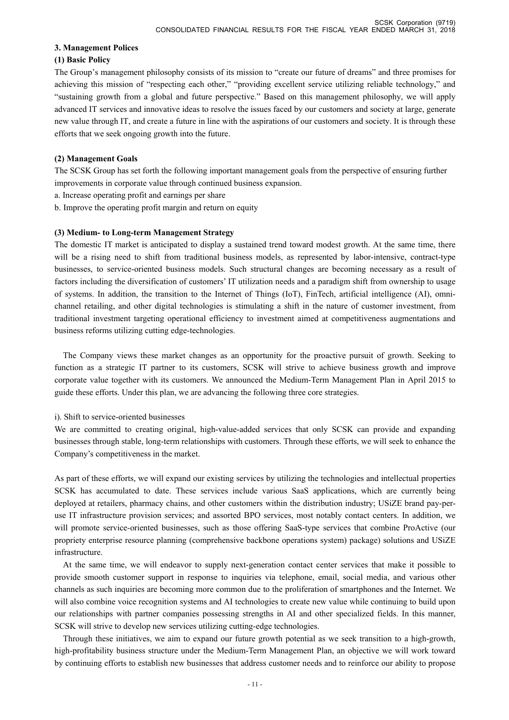#### **3. Management Polices**

#### **(1) Basic Policy**

The Group's management philosophy consists of its mission to "create our future of dreams" and three promises for achieving this mission of "respecting each other," "providing excellent service utilizing reliable technology," and "sustaining growth from a global and future perspective." Based on this management philosophy, we will apply advanced IT services and innovative ideas to resolve the issues faced by our customers and society at large, generate new value through IT, and create a future in line with the aspirations of our customers and society. It is through these efforts that we seek ongoing growth into the future.

### **(2) Management Goals**

The SCSK Group has set forth the following important management goals from the perspective of ensuring further improvements in corporate value through continued business expansion.

- a. Increase operating profit and earnings per share
- b. Improve the operating profit margin and return on equity

### **(3) Medium- to Long-term Management Strategy**

The domestic IT market is anticipated to display a sustained trend toward modest growth. At the same time, there will be a rising need to shift from traditional business models, as represented by labor-intensive, contract-type businesses, to service-oriented business models. Such structural changes are becoming necessary as a result of factors including the diversification of customers' IT utilization needs and a paradigm shift from ownership to usage of systems. In addition, the transition to the Internet of Things (IoT), FinTech, artificial intelligence (AI), omnichannel retailing, and other digital technologies is stimulating a shift in the nature of customer investment, from traditional investment targeting operational efficiency to investment aimed at competitiveness augmentations and business reforms utilizing cutting edge-technologies.

 The Company views these market changes as an opportunity for the proactive pursuit of growth. Seeking to function as a strategic IT partner to its customers, SCSK will strive to achieve business growth and improve corporate value together with its customers. We announced the Medium-Term Management Plan in April 2015 to guide these efforts. Under this plan, we are advancing the following three core strategies.

#### i). Shift to service-oriented businesses

We are committed to creating original, high-value-added services that only SCSK can provide and expanding businesses through stable, long-term relationships with customers. Through these efforts, we will seek to enhance the Company's competitiveness in the market.

As part of these efforts, we will expand our existing services by utilizing the technologies and intellectual properties SCSK has accumulated to date. These services include various SaaS applications, which are currently being deployed at retailers, pharmacy chains, and other customers within the distribution industry; USiZE brand pay-peruse IT infrastructure provision services; and assorted BPO services, most notably contact centers. In addition, we will promote service-oriented businesses, such as those offering SaaS-type services that combine ProActive (our propriety enterprise resource planning (comprehensive backbone operations system) package) solutions and USiZE infrastructure.

 At the same time, we will endeavor to supply next-generation contact center services that make it possible to provide smooth customer support in response to inquiries via telephone, email, social media, and various other channels as such inquiries are becoming more common due to the proliferation of smartphones and the Internet. We will also combine voice recognition systems and AI technologies to create new value while continuing to build upon our relationships with partner companies possessing strengths in AI and other specialized fields. In this manner, SCSK will strive to develop new services utilizing cutting-edge technologies.

 Through these initiatives, we aim to expand our future growth potential as we seek transition to a high-growth, high-profitability business structure under the Medium-Term Management Plan, an objective we will work toward by continuing efforts to establish new businesses that address customer needs and to reinforce our ability to propose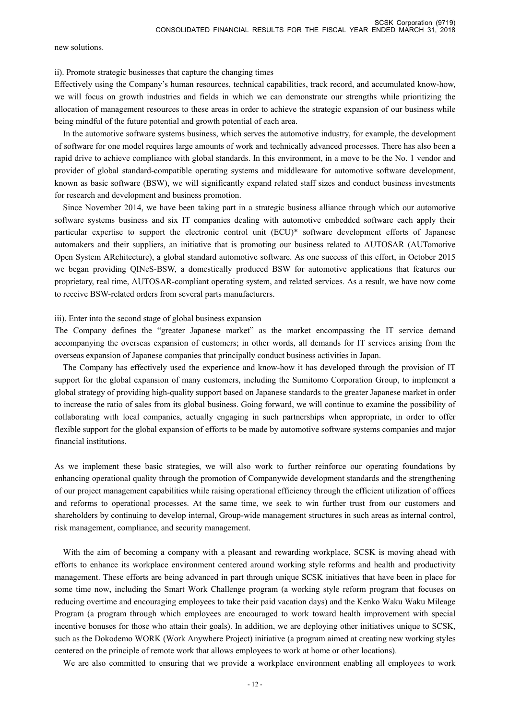new solutions.

#### ii). Promote strategic businesses that capture the changing times

Effectively using the Company's human resources, technical capabilities, track record, and accumulated know-how, we will focus on growth industries and fields in which we can demonstrate our strengths while prioritizing the allocation of management resources to these areas in order to achieve the strategic expansion of our business while being mindful of the future potential and growth potential of each area.

 In the automotive software systems business, which serves the automotive industry, for example, the development of software for one model requires large amounts of work and technically advanced processes. There has also been a rapid drive to achieve compliance with global standards. In this environment, in a move to be the No. 1 vendor and provider of global standard-compatible operating systems and middleware for automotive software development, known as basic software (BSW), we will significantly expand related staff sizes and conduct business investments for research and development and business promotion.

 Since November 2014, we have been taking part in a strategic business alliance through which our automotive software systems business and six IT companies dealing with automotive embedded software each apply their particular expertise to support the electronic control unit (ECU)\* software development efforts of Japanese automakers and their suppliers, an initiative that is promoting our business related to AUTOSAR (AUTomotive Open System ARchitecture), a global standard automotive software. As one success of this effort, in October 2015 we began providing QINeS-BSW, a domestically produced BSW for automotive applications that features our proprietary, real time, AUTOSAR-compliant operating system, and related services. As a result, we have now come to receive BSW-related orders from several parts manufacturers.

#### iii). Enter into the second stage of global business expansion

The Company defines the "greater Japanese market" as the market encompassing the IT service demand accompanying the overseas expansion of customers; in other words, all demands for IT services arising from the overseas expansion of Japanese companies that principally conduct business activities in Japan.

 The Company has effectively used the experience and know-how it has developed through the provision of IT support for the global expansion of many customers, including the Sumitomo Corporation Group, to implement a global strategy of providing high-quality support based on Japanese standards to the greater Japanese market in order to increase the ratio of sales from its global business. Going forward, we will continue to examine the possibility of collaborating with local companies, actually engaging in such partnerships when appropriate, in order to offer flexible support for the global expansion of efforts to be made by automotive software systems companies and major financial institutions.

As we implement these basic strategies, we will also work to further reinforce our operating foundations by enhancing operational quality through the promotion of Companywide development standards and the strengthening of our project management capabilities while raising operational efficiency through the efficient utilization of offices and reforms to operational processes. At the same time, we seek to win further trust from our customers and shareholders by continuing to develop internal, Group-wide management structures in such areas as internal control, risk management, compliance, and security management.

With the aim of becoming a company with a pleasant and rewarding workplace, SCSK is moving ahead with efforts to enhance its workplace environment centered around working style reforms and health and productivity management. These efforts are being advanced in part through unique SCSK initiatives that have been in place for some time now, including the Smart Work Challenge program (a working style reform program that focuses on reducing overtime and encouraging employees to take their paid vacation days) and the Kenko Waku Waku Mileage Program (a program through which employees are encouraged to work toward health improvement with special incentive bonuses for those who attain their goals). In addition, we are deploying other initiatives unique to SCSK, such as the Dokodemo WORK (Work Anywhere Project) initiative (a program aimed at creating new working styles centered on the principle of remote work that allows employees to work at home or other locations).

We are also committed to ensuring that we provide a workplace environment enabling all employees to work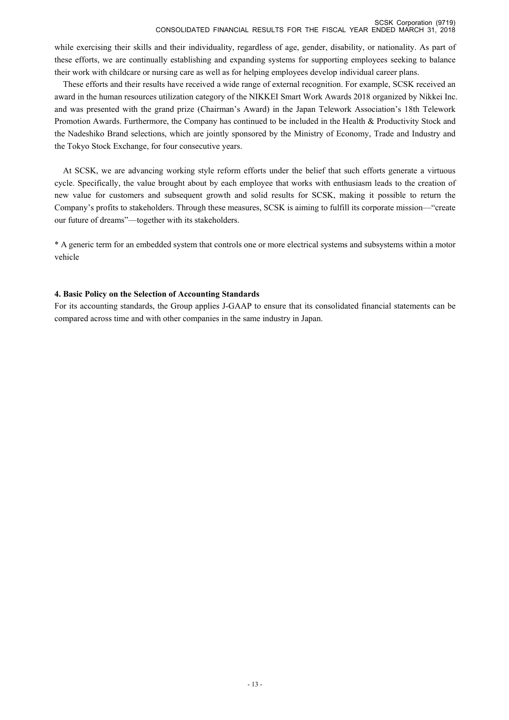while exercising their skills and their individuality, regardless of age, gender, disability, or nationality. As part of these efforts, we are continually establishing and expanding systems for supporting employees seeking to balance their work with childcare or nursing care as well as for helping employees develop individual career plans.

 These efforts and their results have received a wide range of external recognition. For example, SCSK received an award in the human resources utilization category of the NIKKEI Smart Work Awards 2018 organized by Nikkei Inc. and was presented with the grand prize (Chairman's Award) in the Japan Telework Association's 18th Telework Promotion Awards. Furthermore, the Company has continued to be included in the Health & Productivity Stock and the Nadeshiko Brand selections, which are jointly sponsored by the Ministry of Economy, Trade and Industry and the Tokyo Stock Exchange, for four consecutive years.

 At SCSK, we are advancing working style reform efforts under the belief that such efforts generate a virtuous cycle. Specifically, the value brought about by each employee that works with enthusiasm leads to the creation of new value for customers and subsequent growth and solid results for SCSK, making it possible to return the Company's profits to stakeholders. Through these measures, SCSK is aiming to fulfill its corporate mission—"create our future of dreams"—together with its stakeholders.

\* A generic term for an embedded system that controls one or more electrical systems and subsystems within a motor vehicle

### **4. Basic Policy on the Selection of Accounting Standards**

For its accounting standards, the Group applies J-GAAP to ensure that its consolidated financial statements can be compared across time and with other companies in the same industry in Japan.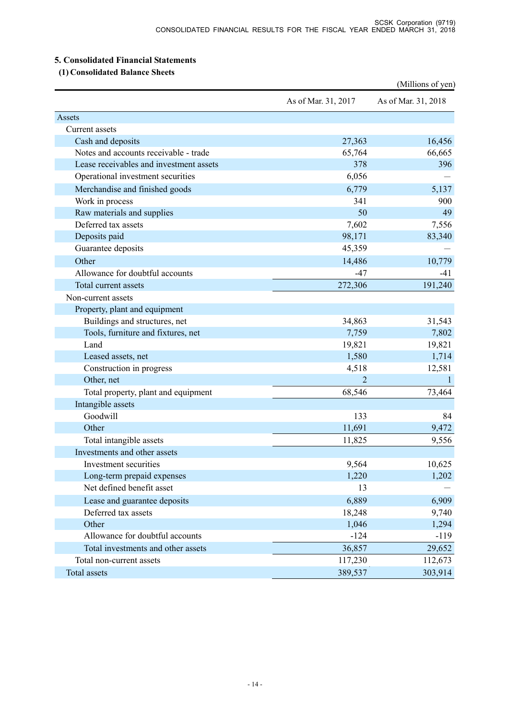### **5. Consolidated Financial Statements**

 **(1) Consolidated Balance Sheets** 

|                                         |                     | (Millions of yen)   |
|-----------------------------------------|---------------------|---------------------|
|                                         | As of Mar. 31, 2017 | As of Mar. 31, 2018 |
| Assets                                  |                     |                     |
| Current assets                          |                     |                     |
| Cash and deposits                       | 27,363              | 16,456              |
| Notes and accounts receivable - trade   | 65,764              | 66,665              |
| Lease receivables and investment assets | 378                 | 396                 |
| Operational investment securities       | 6,056               |                     |
| Merchandise and finished goods          | 6,779               | 5,137               |
| Work in process                         | 341                 | 900                 |
| Raw materials and supplies              | 50                  | 49                  |
| Deferred tax assets                     | 7,602               | 7,556               |
| Deposits paid                           | 98,171              | 83,340              |
| Guarantee deposits                      | 45,359              |                     |
| Other                                   | 14,486              | 10,779              |
| Allowance for doubtful accounts         | $-47$               | $-41$               |
| Total current assets                    | 272,306             | 191,240             |
| Non-current assets                      |                     |                     |
| Property, plant and equipment           |                     |                     |
| Buildings and structures, net           | 34,863              | 31,543              |
| Tools, furniture and fixtures, net      | 7,759               | 7,802               |
| Land                                    | 19,821              | 19,821              |
| Leased assets, net                      | 1,580               | 1,714               |
| Construction in progress                | 4,518               | 12,581              |
| Other, net                              |                     | $\mathbf{1}$        |
| Total property, plant and equipment     | 68,546              | 73,464              |
| Intangible assets                       |                     |                     |
| Goodwill                                | 133                 | 84                  |
| Other                                   | 11,691              | 9,472               |
| Total intangible assets                 | 11,825              | 9,556               |
| Investments and other assets            |                     |                     |
| Investment securities                   | 9,564               | 10,625              |
| Long-term prepaid expenses              | 1,220               | 1,202               |
| Net defined benefit asset               | 13                  |                     |
| Lease and guarantee deposits            | 6,889               | 6,909               |
| Deferred tax assets                     | 18,248              | 9,740               |
| Other                                   | 1,046               | 1,294               |
| Allowance for doubtful accounts         | $-124$              | $-119$              |
| Total investments and other assets      | 36,857              | 29,652              |
| Total non-current assets                |                     |                     |
|                                         | 117,230             | 112,673             |
| Total assets                            | 389,537             | 303,914             |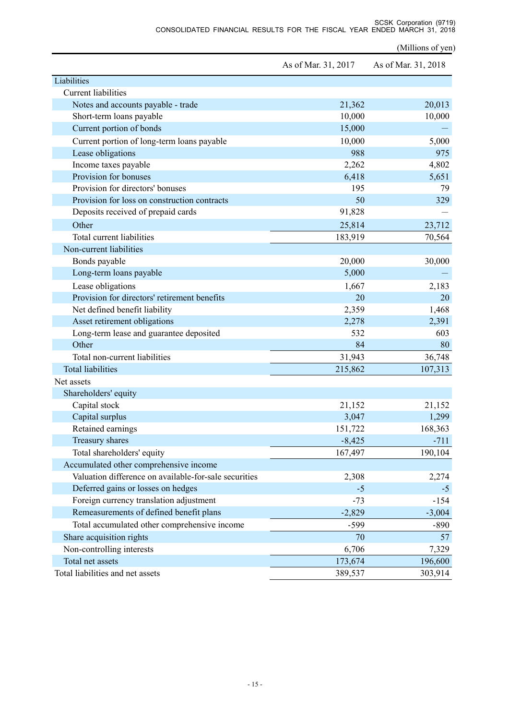(Millions of yen)

|                                                       | As of Mar. 31, 2017 | As of Mar. 31, 2018 |
|-------------------------------------------------------|---------------------|---------------------|
| Liabilities                                           |                     |                     |
| <b>Current liabilities</b>                            |                     |                     |
| Notes and accounts payable - trade                    | 21,362              | 20,013              |
| Short-term loans payable                              | 10,000              | 10,000              |
| Current portion of bonds                              | 15,000              |                     |
| Current portion of long-term loans payable            | 10,000              | 5,000               |
| Lease obligations                                     | 988                 | 975                 |
| Income taxes payable                                  | 2,262               | 4,802               |
| Provision for bonuses                                 | 6,418               | 5,651               |
| Provision for directors' bonuses                      | 195                 | 79                  |
| Provision for loss on construction contracts          | 50                  | 329                 |
| Deposits received of prepaid cards                    | 91,828              |                     |
| Other                                                 | 25,814              | 23,712              |
| Total current liabilities                             | 183,919             | 70,564              |
| Non-current liabilities                               |                     |                     |
| Bonds payable                                         | 20,000              | 30,000              |
| Long-term loans payable                               | 5,000               |                     |
| Lease obligations                                     | 1,667               | 2,183               |
| Provision for directors' retirement benefits          | 20                  | 20                  |
| Net defined benefit liability                         | 2,359               | 1,468               |
| Asset retirement obligations                          | 2,278               | 2,391               |
| Long-term lease and guarantee deposited               | 532                 | 603                 |
| Other                                                 | 84                  | 80                  |
| Total non-current liabilities                         | 31,943              | 36,748              |
| <b>Total liabilities</b>                              | 215,862             | 107,313             |
| Net assets                                            |                     |                     |
| Shareholders' equity                                  |                     |                     |
| Capital stock                                         | 21,152              | 21,152              |
| Capital surplus                                       | 3,047               | 1,299               |
| Retained earnings                                     | 151,722             | 168,363             |
| Treasury shares                                       | $-8,425$            | $-711$              |
| Total shareholders' equity                            | 167,497             | 190,104             |
| Accumulated other comprehensive income                |                     |                     |
| Valuation difference on available-for-sale securities | 2,308               | 2,274               |
| Deferred gains or losses on hedges                    | $-5$                | $-5$                |
| Foreign currency translation adjustment               | $-73$               | $-154$              |
| Remeasurements of defined benefit plans               | $-2,829$            | $-3,004$            |
| Total accumulated other comprehensive income          | $-599$              | $-890$              |
| Share acquisition rights                              | 70                  | 57                  |
| Non-controlling interests                             | 6,706               | 7,329               |
| Total net assets                                      | 173,674             | 196,600             |
| Total liabilities and net assets                      | 389,537             | 303,914             |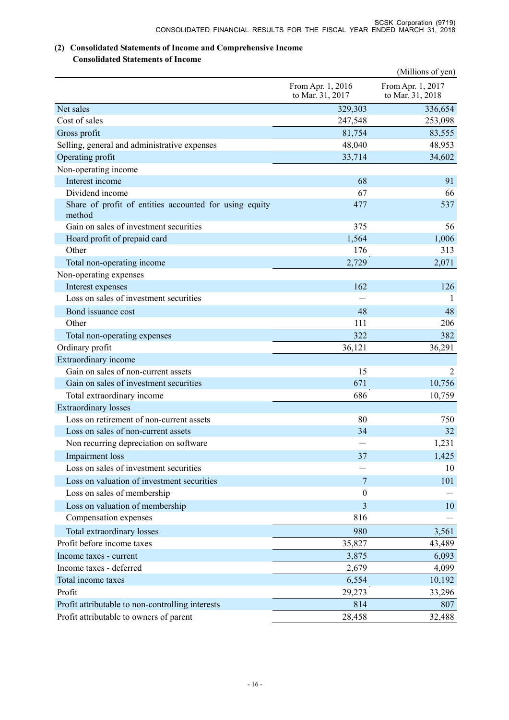## **(2) Consolidated Statements of Income and Comprehensive Income**

### **Consolidated Statements of Income**

|                                                                  |                                       | (Millions of yen)                     |
|------------------------------------------------------------------|---------------------------------------|---------------------------------------|
|                                                                  | From Apr. 1, 2016<br>to Mar. 31, 2017 | From Apr. 1, 2017<br>to Mar. 31, 2018 |
| Net sales                                                        | 329,303                               | 336,654                               |
| Cost of sales                                                    | 247,548                               | 253,098                               |
| Gross profit                                                     | 81,754                                | 83,555                                |
| Selling, general and administrative expenses                     | 48,040                                | 48,953                                |
| Operating profit                                                 | 33,714                                | 34,602                                |
| Non-operating income                                             |                                       |                                       |
| Interest income                                                  | 68                                    | 91                                    |
| Dividend income                                                  | 67                                    | 66                                    |
| Share of profit of entities accounted for using equity<br>method | 477                                   | 537                                   |
| Gain on sales of investment securities                           | 375                                   | 56                                    |
| Hoard profit of prepaid card                                     | 1,564                                 | 1,006                                 |
| Other                                                            | 176                                   | 313                                   |
| Total non-operating income                                       | 2,729                                 | 2,071                                 |
| Non-operating expenses                                           |                                       |                                       |
| Interest expenses                                                | 162                                   | 126                                   |
| Loss on sales of investment securities                           |                                       |                                       |
| Bond issuance cost                                               | 48                                    | 48                                    |
| Other                                                            | 111                                   | 206                                   |
| Total non-operating expenses                                     | 322                                   | 382                                   |
| Ordinary profit                                                  | 36,121                                | 36,291                                |
| Extraordinary income                                             |                                       |                                       |
| Gain on sales of non-current assets                              | 15                                    | 2                                     |
| Gain on sales of investment securities                           | 671                                   | 10,756                                |
| Total extraordinary income                                       | 686                                   | 10,759                                |
| <b>Extraordinary losses</b>                                      |                                       |                                       |
| Loss on retirement of non-current assets                         | 80                                    | 750                                   |
| Loss on sales of non-current assets                              | 34                                    | 32                                    |
| Non recurring depreciation on software                           |                                       | 1,231                                 |
| Impairment loss                                                  | 37                                    | 1,425                                 |
| Loss on sales of investment securities                           |                                       | 10                                    |
| Loss on valuation of investment securities                       | 7                                     | 101                                   |
| Loss on sales of membership                                      | $\boldsymbol{0}$                      |                                       |
| Loss on valuation of membership                                  | 3                                     | 10                                    |
| Compensation expenses                                            | 816                                   |                                       |
| Total extraordinary losses                                       | 980                                   | 3,561                                 |
| Profit before income taxes                                       | 35,827                                | 43,489                                |
| Income taxes - current                                           | 3,875                                 | 6,093                                 |
| Income taxes - deferred                                          | 2,679                                 | 4,099                                 |
| Total income taxes                                               | 6,554                                 | 10,192                                |
| Profit                                                           | 29,273                                | 33,296                                |
| Profit attributable to non-controlling interests                 | 814                                   | 807                                   |
| Profit attributable to owners of parent                          | 28,458                                | 32,488                                |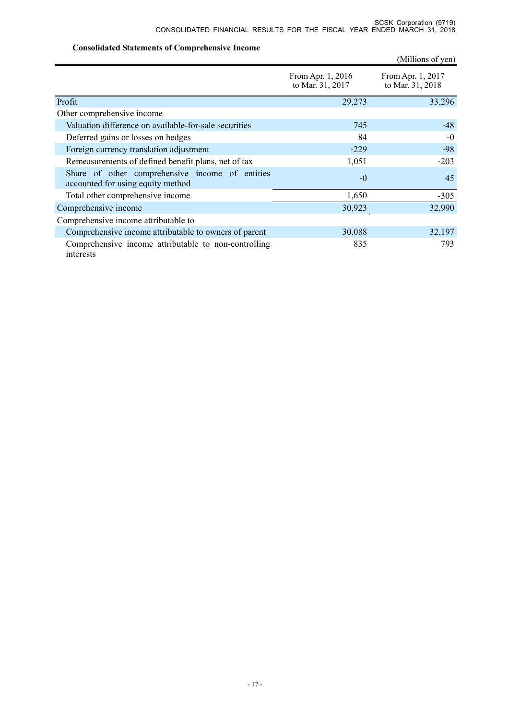### **Consolidated Statements of Comprehensive Income**

|                                                                                      |                                       | (Millions of yen)                     |
|--------------------------------------------------------------------------------------|---------------------------------------|---------------------------------------|
|                                                                                      | From Apr. 1, 2016<br>to Mar. 31, 2017 | From Apr. 1, 2017<br>to Mar. 31, 2018 |
| Profit                                                                               | 29,273                                | 33,296                                |
| Other comprehensive income                                                           |                                       |                                       |
| Valuation difference on available-for-sale securities                                | 745                                   | $-48$                                 |
| Deferred gains or losses on hedges                                                   | 84                                    | $-0$                                  |
| Foreign currency translation adjustment                                              | $-229$                                | $-98$                                 |
| Remeasurements of defined benefit plans, net of tax                                  | 1,051                                 | $-203$                                |
| Share of other comprehensive income of entities<br>accounted for using equity method | $-0$                                  | 45                                    |
| Total other comprehensive income                                                     | 1,650                                 | $-305$                                |
| Comprehensive income                                                                 | 30,923                                | 32,990                                |
| Comprehensive income attributable to                                                 |                                       |                                       |
| Comprehensive income attributable to owners of parent                                | 30,088                                | 32,197                                |
| Comprehensive income attributable to non-controlling<br>interests                    | 835                                   | 793                                   |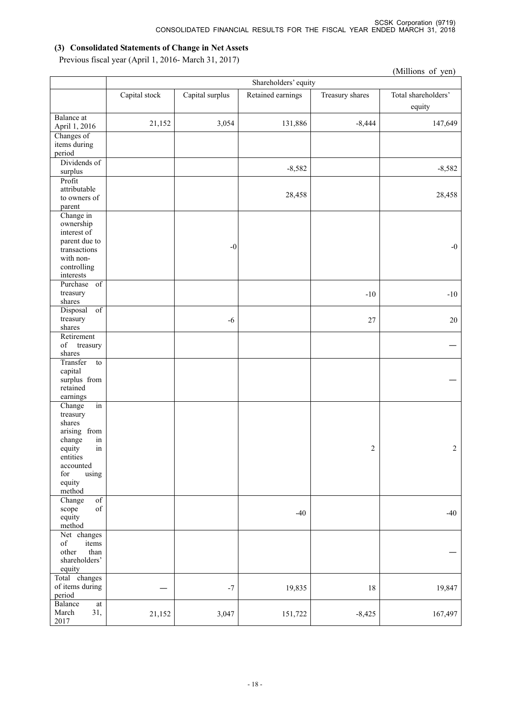### **(3) Consolidated Statements of Change in Net Assets**

Previous fiscal year (April 1, 2016- March 31, 2017)

|                                                        |                      |                 |                   |                 | (Millions of yen)   |  |
|--------------------------------------------------------|----------------------|-----------------|-------------------|-----------------|---------------------|--|
|                                                        | Shareholders' equity |                 |                   |                 |                     |  |
|                                                        | Capital stock        | Capital surplus | Retained earnings | Treasury shares | Total shareholders' |  |
|                                                        |                      |                 |                   |                 |                     |  |
|                                                        |                      |                 |                   |                 | equity              |  |
| Balance at                                             | 21,152               | 3,054           | 131,886           | $-8,444$        | 147,649             |  |
| April 1, 2016                                          |                      |                 |                   |                 |                     |  |
| Changes of<br>items during                             |                      |                 |                   |                 |                     |  |
| period                                                 |                      |                 |                   |                 |                     |  |
| Dividends of                                           |                      |                 |                   |                 |                     |  |
| surplus                                                |                      |                 | $-8,582$          |                 | $-8,582$            |  |
| Profit                                                 |                      |                 |                   |                 |                     |  |
| attributable                                           |                      |                 |                   |                 |                     |  |
| to owners of                                           |                      |                 | 28,458            |                 | 28,458              |  |
| parent                                                 |                      |                 |                   |                 |                     |  |
| Change in                                              |                      |                 |                   |                 |                     |  |
| ownership                                              |                      |                 |                   |                 |                     |  |
| interest of<br>parent due to                           |                      |                 |                   |                 |                     |  |
| transactions                                           |                      | $-0$            |                   |                 | $-0$                |  |
| with non-                                              |                      |                 |                   |                 |                     |  |
| controlling                                            |                      |                 |                   |                 |                     |  |
| interests                                              |                      |                 |                   |                 |                     |  |
| Purchase of                                            |                      |                 |                   |                 |                     |  |
| treasury                                               |                      |                 |                   | $-10$           | $-10$               |  |
| shares                                                 |                      |                 |                   |                 |                     |  |
| Disposal<br>$\overline{\text{of}}$                     |                      |                 |                   |                 |                     |  |
| treasury                                               |                      | $-6$            |                   | $27\,$          | 20                  |  |
| shares<br>Retirement                                   |                      |                 |                   |                 |                     |  |
| $_{\mathrm{of}}$<br>treasury                           |                      |                 |                   |                 |                     |  |
| shares                                                 |                      |                 |                   |                 |                     |  |
| Transfer<br>to                                         |                      |                 |                   |                 |                     |  |
| capital                                                |                      |                 |                   |                 |                     |  |
| surplus from                                           |                      |                 |                   |                 |                     |  |
| retained                                               |                      |                 |                   |                 |                     |  |
| earnings                                               |                      |                 |                   |                 |                     |  |
| Change<br>in                                           |                      |                 |                   |                 |                     |  |
| treasury<br>shares                                     |                      |                 |                   |                 |                     |  |
| arising from                                           |                      |                 |                   |                 |                     |  |
| in<br>change                                           |                      |                 |                   |                 |                     |  |
| equity in                                              |                      |                 |                   | $\mathfrak{D}$  | $\mathfrak{D}$      |  |
| entities                                               |                      |                 |                   |                 |                     |  |
| accounted                                              |                      |                 |                   |                 |                     |  |
| using<br>for                                           |                      |                 |                   |                 |                     |  |
| equity                                                 |                      |                 |                   |                 |                     |  |
| method                                                 |                      |                 |                   |                 |                     |  |
| Change<br>$\overline{of}$<br>$_{\mathrm{of}}$<br>scope |                      |                 |                   |                 |                     |  |
| equity                                                 |                      |                 | $-40$             |                 | $-40$               |  |
| method                                                 |                      |                 |                   |                 |                     |  |
| Net changes                                            |                      |                 |                   |                 |                     |  |
| $_{\mathrm{of}}$<br>items                              |                      |                 |                   |                 |                     |  |
| other<br>than                                          |                      |                 |                   |                 |                     |  |
| shareholders'                                          |                      |                 |                   |                 |                     |  |
| equity                                                 |                      |                 |                   |                 |                     |  |
| Total changes                                          |                      |                 |                   |                 |                     |  |
| of items during<br>period                              |                      | $^{\rm -7}$     | 19,835            | 18              | 19,847              |  |
| Balance<br>$\operatorname{at}$                         |                      |                 |                   |                 |                     |  |
| 31,<br>March                                           | 21,152               | 3,047           | 151,722           | $-8,425$        | 167,497             |  |
| 2017                                                   |                      |                 |                   |                 |                     |  |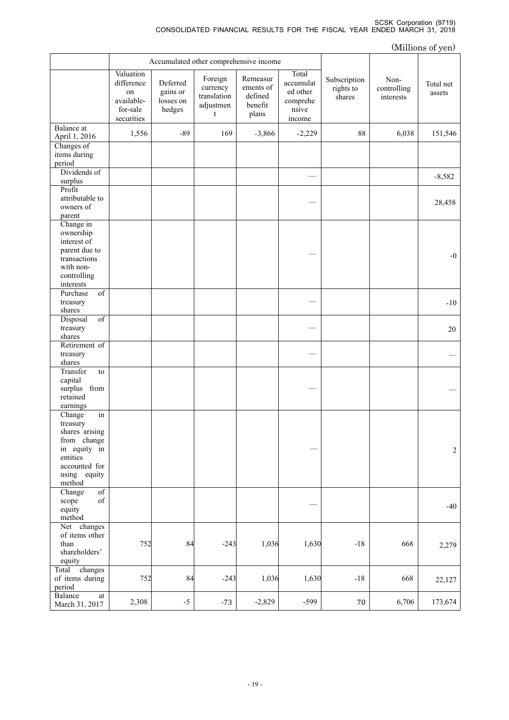|                                                                                                                                  |                                                                       |                                             |                                                      |                                                      |                                                               |                                     |                                  | (Millions of yen)   |
|----------------------------------------------------------------------------------------------------------------------------------|-----------------------------------------------------------------------|---------------------------------------------|------------------------------------------------------|------------------------------------------------------|---------------------------------------------------------------|-------------------------------------|----------------------------------|---------------------|
|                                                                                                                                  |                                                                       | Accumulated other comprehensive income      |                                                      |                                                      |                                                               |                                     |                                  |                     |
|                                                                                                                                  | Valuation<br>difference<br>on<br>available-<br>for-sale<br>securities | Deferred<br>gains or<br>losses on<br>hedges | Foreign<br>currency<br>translation<br>adjustmen<br>t | Remeasur<br>ements of<br>defined<br>benefit<br>plans | Total<br>accumulat<br>ed other<br>comprehe<br>nsive<br>income | Subscription<br>rights to<br>shares | Non-<br>controlling<br>interests | Total net<br>assets |
| Balance at<br>April 1, 2016                                                                                                      | 1,556                                                                 | $-89$                                       | 169                                                  | $-3,866$                                             | $-2,229$                                                      | 88                                  | 6,038                            | 151,546             |
| Changes of<br>items during<br>period                                                                                             |                                                                       |                                             |                                                      |                                                      |                                                               |                                     |                                  |                     |
| Dividends of<br>surplus                                                                                                          |                                                                       |                                             |                                                      |                                                      |                                                               |                                     |                                  | $-8,582$            |
| Profit<br>attributable to<br>owners of<br>parent                                                                                 |                                                                       |                                             |                                                      |                                                      |                                                               |                                     |                                  | 28,458              |
| Change in<br>ownership<br>interest of<br>parent due to<br>transactions<br>with non-<br>controlling<br>interests                  |                                                                       |                                             |                                                      |                                                      |                                                               |                                     |                                  | $-0$                |
| $\overline{\text{of}}$<br>Purchase<br>treasury<br>shares                                                                         |                                                                       |                                             |                                                      |                                                      |                                                               |                                     |                                  | $-10$               |
| $\overline{\text{of}}$<br>Disposal<br>treasury<br>shares                                                                         |                                                                       |                                             |                                                      |                                                      |                                                               |                                     |                                  | 20                  |
| Retirement of<br>treasury<br>shares                                                                                              |                                                                       |                                             |                                                      |                                                      |                                                               |                                     |                                  |                     |
| Transfer<br>to<br>capital<br>surplus from<br>retained<br>earnings                                                                |                                                                       |                                             |                                                      |                                                      |                                                               |                                     |                                  |                     |
| in<br>Change<br>treasury<br>shares arising<br>from change<br>in equity in<br>entities<br>accounted for<br>using equity<br>method |                                                                       |                                             |                                                      |                                                      |                                                               |                                     |                                  | $\sqrt{2}$          |
| Change<br>$_{\mathrm{of}}$<br>$_{\mathrm{of}}$<br>scope<br>equity<br>method                                                      |                                                                       |                                             |                                                      |                                                      |                                                               |                                     |                                  | $-40$               |
| Net changes<br>of items other<br>than<br>shareholders'<br>equity                                                                 | 752                                                                   | 84                                          | $-243$                                               | 1,036                                                | 1,630                                                         | $-18$                               | 668                              | 2,279               |
| Total changes<br>of items during<br>period                                                                                       | 752                                                                   | 84                                          | $-243$                                               | 1,036                                                | 1,630                                                         | $-18$                               | 668                              | 22,127              |
| Balance<br>at<br>March 31, 2017                                                                                                  | 2,308                                                                 | $-5$                                        | $-73$                                                | $-2,829$                                             | $-599$                                                        | 70                                  | 6,706                            | 173,674             |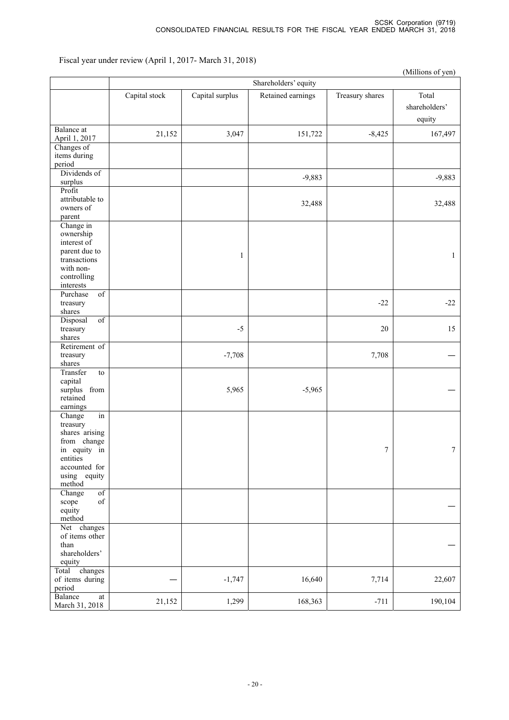Fiscal year under review (April 1, 2017- March 31, 2018)

|                                                                                                                                  |               |                 |                      |                 | (Millions of yen)                |
|----------------------------------------------------------------------------------------------------------------------------------|---------------|-----------------|----------------------|-----------------|----------------------------------|
|                                                                                                                                  |               |                 | Shareholders' equity |                 |                                  |
|                                                                                                                                  | Capital stock | Capital surplus | Retained earnings    | Treasury shares | Total<br>shareholders'<br>equity |
| Balance at<br>April 1, 2017                                                                                                      | 21,152        | 3,047           | 151,722              | $-8,425$        | 167,497                          |
| Changes of<br>items during<br>period                                                                                             |               |                 |                      |                 |                                  |
| Dividends of<br>surplus                                                                                                          |               |                 | $-9,883$             |                 | $-9,883$                         |
| Profit<br>attributable to<br>owners of<br>parent                                                                                 |               |                 | 32,488               |                 | 32,488                           |
| Change in<br>ownership<br>interest of<br>parent due to<br>transactions<br>with non-<br>controlling<br>interests                  |               | 1               |                      |                 | $\mathbf{1}$                     |
| Purchase<br>$\overline{of}$<br>treasury<br>shares                                                                                |               |                 |                      | $-22$           | $-22$                            |
| Disposal<br>$\overline{\text{of}}$<br>treasury<br>shares                                                                         |               | $-5$            |                      | $20\,$          | 15                               |
| Retirement of<br>treasury<br>shares                                                                                              |               | $-7,708$        |                      | 7,708           |                                  |
| Transfer<br>to<br>capital<br>surplus from<br>retained<br>earnings                                                                |               | 5,965           | $-5,965$             |                 |                                  |
| in<br>Change<br>treasury<br>shares arising<br>from change<br>in equity in<br>entities<br>accounted for<br>using equity<br>method |               |                 |                      | $\sqrt{ }$      | $\boldsymbol{7}$                 |
| Change<br>$\overline{of}$<br>$\sigma f$<br>scope<br>equity<br>method                                                             |               |                 |                      |                 |                                  |
| Net changes<br>of items other<br>than<br>shareholders'<br>equity                                                                 |               |                 |                      |                 |                                  |
| Total<br>changes<br>of items during<br>period                                                                                    |               | $-1,747$        | 16,640               | 7,714           | 22,607                           |
| Balance<br>$\operatorname{at}$<br>March 31, 2018                                                                                 | 21,152        | 1,299           | 168,363              | $-711$          | 190,104                          |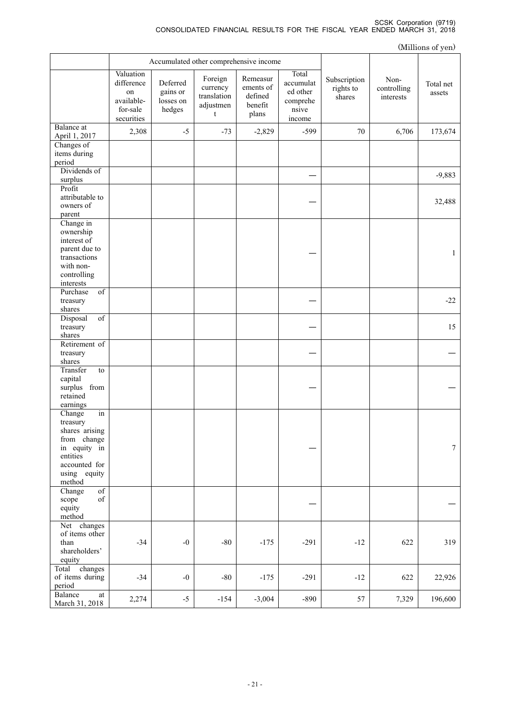|                                                                                                                                  |                                                                       |                                             |                                                      |                                                      |                                                               |                                     |                                  | (Millions of yen)   |
|----------------------------------------------------------------------------------------------------------------------------------|-----------------------------------------------------------------------|---------------------------------------------|------------------------------------------------------|------------------------------------------------------|---------------------------------------------------------------|-------------------------------------|----------------------------------|---------------------|
|                                                                                                                                  |                                                                       | Accumulated other comprehensive income      |                                                      |                                                      |                                                               |                                     |                                  |                     |
|                                                                                                                                  | Valuation<br>difference<br>on<br>available-<br>for-sale<br>securities | Deferred<br>gains or<br>losses on<br>hedges | Foreign<br>currency<br>translation<br>adjustmen<br>t | Remeasur<br>ements of<br>defined<br>benefit<br>plans | Total<br>accumulat<br>ed other<br>comprehe<br>nsive<br>income | Subscription<br>rights to<br>shares | Non-<br>controlling<br>interests | Total net<br>assets |
| Balance at<br>April 1, 2017                                                                                                      | 2,308                                                                 | $-5$                                        | $-73$                                                | $-2,829$                                             | -599                                                          | 70                                  | 6,706                            | 173,674             |
| Changes of<br>items during<br>period                                                                                             |                                                                       |                                             |                                                      |                                                      |                                                               |                                     |                                  |                     |
| Dividends of<br>surplus                                                                                                          |                                                                       |                                             |                                                      |                                                      |                                                               |                                     |                                  | $-9,883$            |
| Profit<br>attributable to<br>owners of<br>parent                                                                                 |                                                                       |                                             |                                                      |                                                      |                                                               |                                     |                                  | 32,488              |
| Change in<br>ownership<br>interest of<br>parent due to<br>transactions<br>with non-<br>controlling<br>interests                  |                                                                       |                                             |                                                      |                                                      |                                                               |                                     |                                  | $\mathbf{1}$        |
| $\overline{of}$<br>Purchase<br>treasury<br>shares                                                                                |                                                                       |                                             |                                                      |                                                      |                                                               |                                     |                                  | $-22$               |
| of<br>Disposal<br>treasury<br>shares                                                                                             |                                                                       |                                             |                                                      |                                                      |                                                               |                                     |                                  | 15                  |
| Retirement of<br>treasury<br>shares                                                                                              |                                                                       |                                             |                                                      |                                                      |                                                               |                                     |                                  |                     |
| Transfer<br>to<br>capital<br>surplus from<br>retained<br>earnings                                                                |                                                                       |                                             |                                                      |                                                      |                                                               |                                     |                                  |                     |
| in<br>Change<br>treasury<br>shares arising<br>from change<br>in equity in<br>entities<br>accounted for<br>using equity<br>method |                                                                       |                                             |                                                      |                                                      |                                                               |                                     |                                  | $\tau$              |
| of<br>Change<br>$_{\mathrm{of}}$<br>scope<br>equity<br>method                                                                    |                                                                       |                                             |                                                      |                                                      |                                                               |                                     |                                  |                     |
| Net changes<br>of items other<br>than<br>shareholders'<br>equity                                                                 | $-34$                                                                 | $-0$                                        | $-80$                                                | $-175$                                               | $-291$                                                        | $-12$                               | 622                              | 319                 |
| Total changes<br>of items during<br>period                                                                                       | $-34$                                                                 | $-0$                                        | $-80$                                                | $-175$                                               | $-291$                                                        | $-12$                               | 622                              | 22,926              |
| Balance<br>at<br>March 31, 2018                                                                                                  | 2,274                                                                 | $-5$                                        | $-154$                                               | $-3,004$                                             | $-890$                                                        | 57                                  | 7,329                            | 196,600             |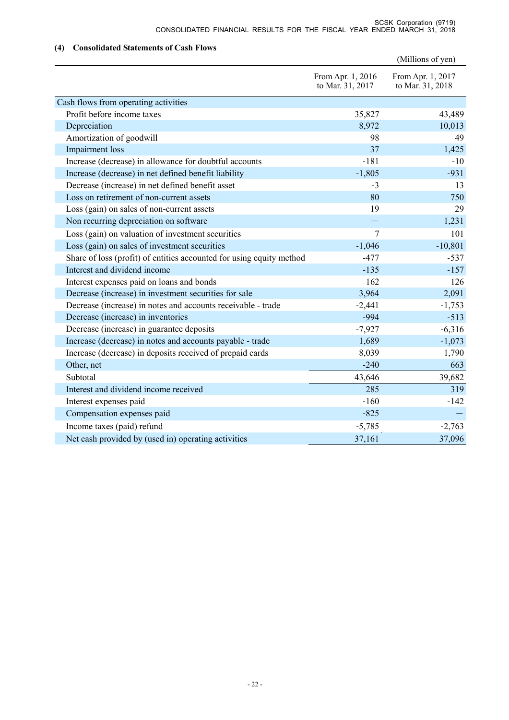### **(4) Consolidated Statements of Cash Flows**

|                                                                      |                                       | (Millions of yen)                     |
|----------------------------------------------------------------------|---------------------------------------|---------------------------------------|
|                                                                      | From Apr. 1, 2016<br>to Mar. 31, 2017 | From Apr. 1, 2017<br>to Mar. 31, 2018 |
| Cash flows from operating activities                                 |                                       |                                       |
| Profit before income taxes                                           | 35,827                                | 43,489                                |
| Depreciation                                                         | 8,972                                 | 10,013                                |
| Amortization of goodwill                                             | 98                                    | 49                                    |
| Impairment loss                                                      | 37                                    | 1,425                                 |
| Increase (decrease) in allowance for doubtful accounts               | $-181$                                | $-10$                                 |
| Increase (decrease) in net defined benefit liability                 | $-1,805$                              | $-931$                                |
| Decrease (increase) in net defined benefit asset                     | $-3$                                  | 13                                    |
| Loss on retirement of non-current assets                             | 80                                    | 750                                   |
| Loss (gain) on sales of non-current assets                           | 19                                    | 29                                    |
| Non recurring depreciation on software                               |                                       | 1,231                                 |
| Loss (gain) on valuation of investment securities                    | 7                                     | 101                                   |
| Loss (gain) on sales of investment securities                        | $-1,046$                              | $-10,801$                             |
| Share of loss (profit) of entities accounted for using equity method | $-477$                                | $-537$                                |
| Interest and dividend income                                         | $-135$                                | $-157$                                |
| Interest expenses paid on loans and bonds                            | 162                                   | 126                                   |
| Decrease (increase) in investment securities for sale                | 3,964                                 | 2,091                                 |
| Decrease (increase) in notes and accounts receivable - trade         | $-2,441$                              | $-1,753$                              |
| Decrease (increase) in inventories                                   | $-994$                                | $-513$                                |
| Decrease (increase) in guarantee deposits                            | $-7,927$                              | $-6,316$                              |
| Increase (decrease) in notes and accounts payable - trade            | 1,689                                 | $-1,073$                              |
| Increase (decrease) in deposits received of prepaid cards            | 8,039                                 | 1,790                                 |
| Other, net                                                           | $-240$                                | 663                                   |
| Subtotal                                                             | 43,646                                | 39,682                                |
| Interest and dividend income received                                | 285                                   | 319                                   |
| Interest expenses paid                                               | $-160$                                | $-142$                                |
| Compensation expenses paid                                           | $-825$                                |                                       |
| Income taxes (paid) refund                                           | $-5,785$                              | $-2,763$                              |
| Net cash provided by (used in) operating activities                  | 37,161                                | 37,096                                |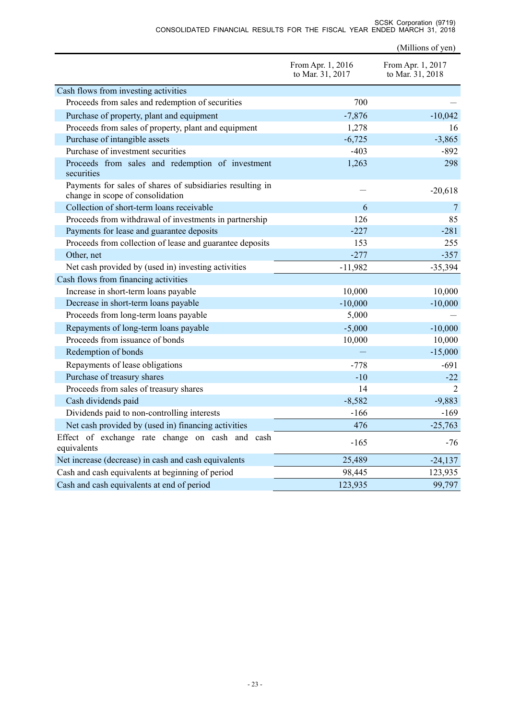|                                                                                               | From Apr. 1, 2016<br>to Mar. 31, 2017 | From Apr. 1, 2017<br>to Mar. 31, 2018 |
|-----------------------------------------------------------------------------------------------|---------------------------------------|---------------------------------------|
| Cash flows from investing activities                                                          |                                       |                                       |
| Proceeds from sales and redemption of securities                                              | 700                                   |                                       |
| Purchase of property, plant and equipment                                                     | $-7,876$                              | $-10,042$                             |
| Proceeds from sales of property, plant and equipment                                          | 1,278                                 | 16                                    |
| Purchase of intangible assets                                                                 | $-6,725$                              | $-3,865$                              |
| Purchase of investment securities                                                             | $-403$                                | $-892$                                |
| Proceeds from sales and redemption of investment<br>securities                                | 1,263                                 | 298                                   |
| Payments for sales of shares of subsidiaries resulting in<br>change in scope of consolidation |                                       | $-20,618$                             |
| Collection of short-term loans receivable                                                     | 6                                     | 7                                     |
| Proceeds from withdrawal of investments in partnership                                        | 126                                   | 85                                    |
| Payments for lease and guarantee deposits                                                     | $-227$                                | $-281$                                |
| Proceeds from collection of lease and guarantee deposits                                      | 153                                   | 255                                   |
| Other, net                                                                                    | $-277$                                | $-357$                                |
| Net cash provided by (used in) investing activities                                           | $-11,982$                             | $-35,394$                             |
| Cash flows from financing activities                                                          |                                       |                                       |
| Increase in short-term loans payable                                                          | 10,000                                | 10,000                                |
| Decrease in short-term loans payable                                                          | $-10,000$                             | $-10,000$                             |
| Proceeds from long-term loans payable                                                         | 5,000                                 |                                       |
| Repayments of long-term loans payable                                                         | $-5,000$                              | $-10,000$                             |
| Proceeds from issuance of bonds                                                               | 10,000                                | 10,000                                |
| Redemption of bonds                                                                           |                                       | $-15,000$                             |
| Repayments of lease obligations                                                               | $-778$                                | $-691$                                |
| Purchase of treasury shares                                                                   | $-10$                                 | $-22$                                 |
| Proceeds from sales of treasury shares                                                        | 14                                    | $\mathcal{D}_{\mathcal{L}}$           |
| Cash dividends paid                                                                           | $-8,582$                              | $-9,883$                              |
| Dividends paid to non-controlling interests                                                   | $-166$                                | -169                                  |
| Net cash provided by (used in) financing activities                                           | 476                                   | $-25,763$                             |
| Effect of exchange rate change on cash and cash<br>equivalents                                | $-165$                                | $-76$                                 |
| Net increase (decrease) in cash and cash equivalents                                          | 25,489                                | $-24,137$                             |
| Cash and cash equivalents at beginning of period                                              | 98,445                                | 123,935                               |
| Cash and cash equivalents at end of period                                                    | 123,935                               | 99,797                                |

(Millions of yen)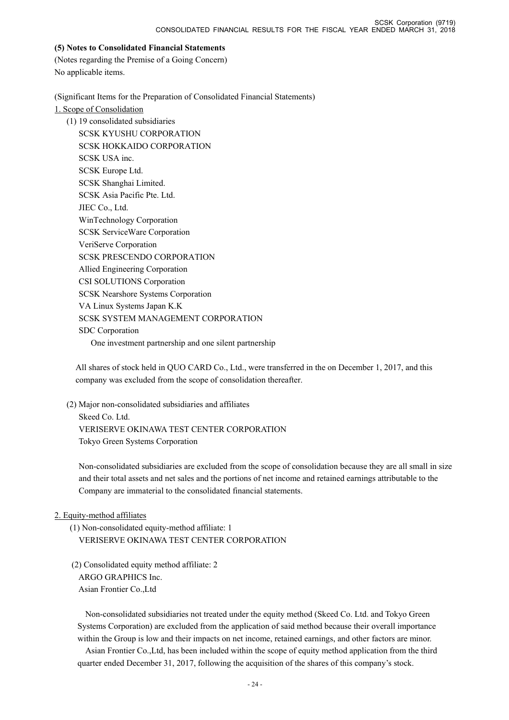### **(5) Notes to Consolidated Financial Statements**

(Notes regarding the Premise of a Going Concern) No applicable items.

(Significant Items for the Preparation of Consolidated Financial Statements)

1. Scope of Consolidation

(1) 19 consolidated subsidiaries

SCSK KYUSHU CORPORATION SCSK HOKKAIDO CORPORATION SCSK USA inc. SCSK Europe Ltd. SCSK Shanghai Limited. SCSK Asia Pacific Pte. Ltd. JIEC Co., Ltd. WinTechnology Corporation SCSK ServiceWare Corporation VeriServe Corporation SCSK PRESCENDO CORPORATION Allied Engineering Corporation CSI SOLUTIONS Corporation SCSK Nearshore Systems Corporation VA Linux Systems Japan K.K SCSK SYSTEM MANAGEMENT CORPORATION SDC Corporation One investment partnership and one silent partnership

All shares of stock held in QUO CARD Co., Ltd., were transferred in the on December 1, 2017, and this company was excluded from the scope of consolidation thereafter.

(2) Major non-consolidated subsidiaries and affiliates Skeed Co. Ltd. VERISERVE OKINAWA TEST CENTER CORPORATION Tokyo Green Systems Corporation

Non-consolidated subsidiaries are excluded from the scope of consolidation because they are all small in size and their total assets and net sales and the portions of net income and retained earnings attributable to the Company are immaterial to the consolidated financial statements.

### 2. Equity-method affiliates

(1) Non-consolidated equity-method affiliate: 1 VERISERVE OKINAWA TEST CENTER CORPORATION

 (2) Consolidated equity method affiliate: 2 ARGO GRAPHICS Inc. Asian Frontier Co.,Ltd

Non-consolidated subsidiaries not treated under the equity method (Skeed Co. Ltd. and Tokyo Green Systems Corporation) are excluded from the application of said method because their overall importance within the Group is low and their impacts on net income, retained earnings, and other factors are minor.

Asian Frontier Co.,Ltd, has been included within the scope of equity method application from the third quarter ended December 31, 2017, following the acquisition of the shares of this company's stock.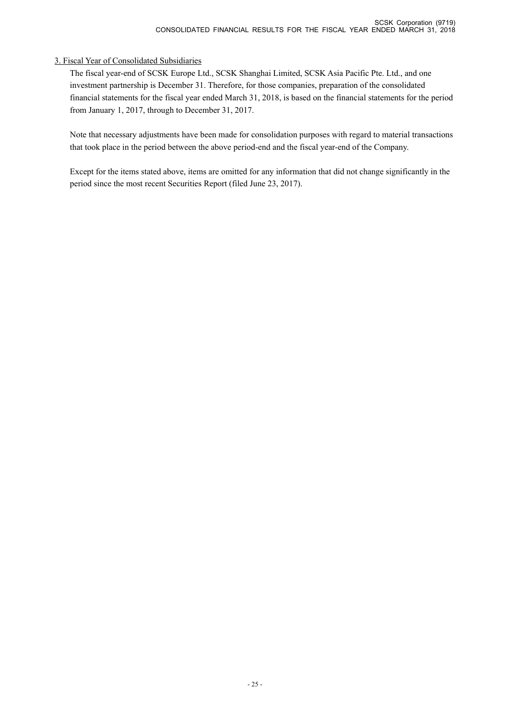### 3. Fiscal Year of Consolidated Subsidiaries

The fiscal year-end of SCSK Europe Ltd., SCSK Shanghai Limited, SCSK Asia Pacific Pte. Ltd., and one investment partnership is December 31. Therefore, for those companies, preparation of the consolidated financial statements for the fiscal year ended March 31, 2018, is based on the financial statements for the period from January 1, 2017, through to December 31, 2017.

Note that necessary adjustments have been made for consolidation purposes with regard to material transactions that took place in the period between the above period-end and the fiscal year-end of the Company.

Except for the items stated above, items are omitted for any information that did not change significantly in the period since the most recent Securities Report (filed June 23, 2017).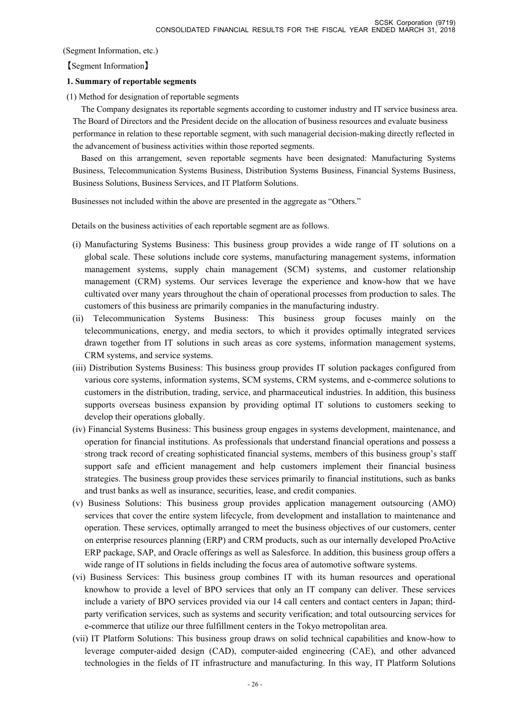(Segment Information, etc.)

【Segment Information】

### **1. Summary of reportable segments**

(1) Method for designation of reportable segments

The Company designates its reportable segments according to customer industry and IT service business area. The Board of Directors and the President decide on the allocation of business resources and evaluate business performance in relation to these reportable segment, with such managerial decision-making directly reflected in the advancement of business activities within those reported segments.

Based on this arrangement, seven reportable segments have been designated: Manufacturing Systems Business, Telecommunication Systems Business, Distribution Systems Business, Financial Systems Business, Business Solutions, Business Services, and IT Platform Solutions.

Businesses not included within the above are presented in the aggregate as "Others."

Details on the business activities of each reportable segment are as follows.

- (i) Manufacturing Systems Business: This business group provides a wide range of IT solutions on a global scale. These solutions include core systems, manufacturing management systems, information management systems, supply chain management (SCM) systems, and customer relationship management (CRM) systems. Our services leverage the experience and know-how that we have cultivated over many years throughout the chain of operational processes from production to sales. The customers of this business are primarily companies in the manufacturing industry.
- (ii) Telecommunication Systems Business: This business group focuses mainly on the telecommunications, energy, and media sectors, to which it provides optimally integrated services drawn together from IT solutions in such areas as core systems, information management systems, CRM systems, and service systems.
- (iii) Distribution Systems Business: This business group provides IT solution packages configured from various core systems, information systems, SCM systems, CRM systems, and e-commerce solutions to customers in the distribution, trading, service, and pharmaceutical industries. In addition, this business supports overseas business expansion by providing optimal IT solutions to customers seeking to develop their operations globally.
- (iv) Financial Systems Business: This business group engages in systems development, maintenance, and operation for financial institutions. As professionals that understand financial operations and possess a strong track record of creating sophisticated financial systems, members of this business group's staff support safe and efficient management and help customers implement their financial business strategies. The business group provides these services primarily to financial institutions, such as banks and trust banks as well as insurance, securities, lease, and credit companies.
- (v) Business Solutions: This business group provides application management outsourcing (AMO) services that cover the entire system lifecycle, from development and installation to maintenance and operation. These services, optimally arranged to meet the business objectives of our customers, center on enterprise resources planning (ERP) and CRM products, such as our internally developed ProActive ERP package, SAP, and Oracle offerings as well as Salesforce. In addition, this business group offers a wide range of IT solutions in fields including the focus area of automotive software systems.
- (vi) Business Services: This business group combines IT with its human resources and operational knowhow to provide a level of BPO services that only an IT company can deliver. These services include a variety of BPO services provided via our 14 call centers and contact centers in Japan; thirdparty verification services, such as systems and security verification; and total outsourcing services for e-commerce that utilize our three fulfillment centers in the Tokyo metropolitan area.
- (vii) IT Platform Solutions: This business group draws on solid technical capabilities and know-how to leverage computer-aided design (CAD), computer-aided engineering (CAE), and other advanced technologies in the fields of IT infrastructure and manufacturing. In this way, IT Platform Solutions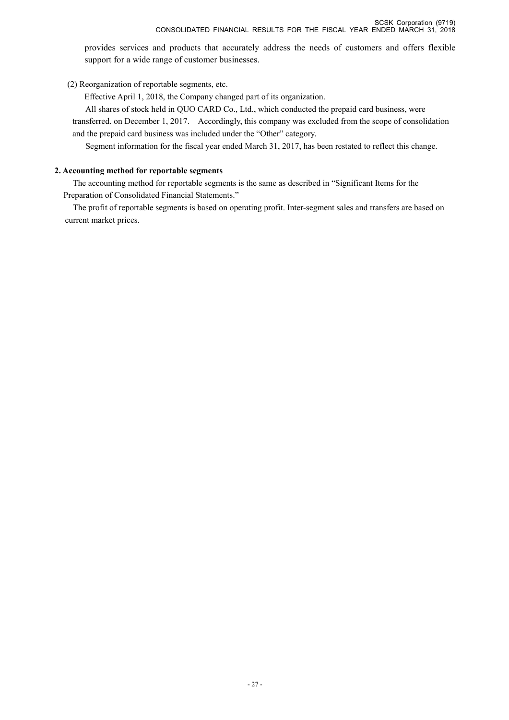provides services and products that accurately address the needs of customers and offers flexible support for a wide range of customer businesses.

(2) Reorganization of reportable segments, etc.

Effective April 1, 2018, the Company changed part of its organization.

All shares of stock held in QUO CARD Co., Ltd., which conducted the prepaid card business, were

transferred. on December 1, 2017. Accordingly, this company was excluded from the scope of consolidation and the prepaid card business was included under the "Other" category.

Segment information for the fiscal year ended March 31, 2017, has been restated to reflect this change.

### **2. Accounting method for reportable segments**

The accounting method for reportable segments is the same as described in "Significant Items for the Preparation of Consolidated Financial Statements."

The profit of reportable segments is based on operating profit. Inter-segment sales and transfers are based on current market prices.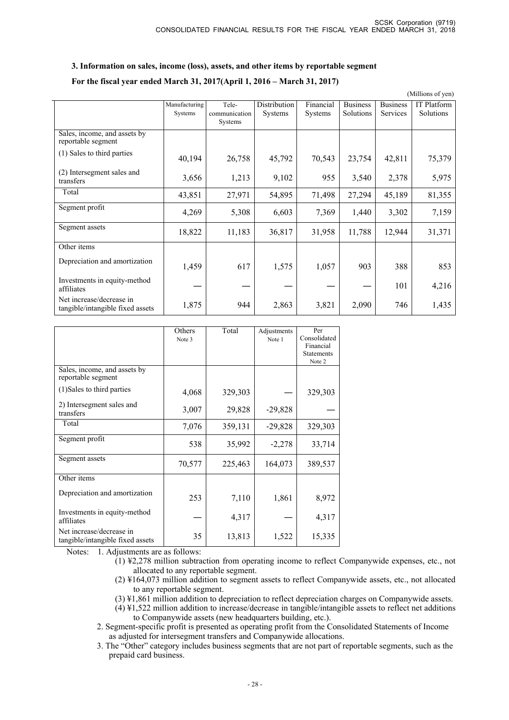### **3. Information on sales, income (loss), assets, and other items by reportable segment**

#### **For the fiscal year ended March 31, 2017(April 1, 2016 – March 31, 2017)**

|                                                              |               |               |              |                |                 |                 | (Millions of yen) |
|--------------------------------------------------------------|---------------|---------------|--------------|----------------|-----------------|-----------------|-------------------|
|                                                              | Manufacturing | Tele-         | Distribution | Financial      | <b>Business</b> | <b>Business</b> | IT Platform       |
|                                                              | Systems       | communication | Systems      | <b>Systems</b> | Solutions       | Services        | Solutions         |
|                                                              |               | Systems       |              |                |                 |                 |                   |
| Sales, income, and assets by<br>reportable segment           |               |               |              |                |                 |                 |                   |
| (1) Sales to third parties                                   | 40,194        | 26,758        | 45,792       | 70,543         | 23,754          | 42,811          | 75,379            |
| (2) Intersegment sales and<br>transfers                      | 3,656         | 1,213         | 9,102        | 955            | 3,540           | 2,378           | 5,975             |
| Total                                                        | 43,851        | 27,971        | 54,895       | 71,498         | 27,294          | 45,189          | 81,355            |
| Segment profit                                               | 4,269         | 5,308         | 6,603        | 7,369          | 1,440           | 3,302           | 7,159             |
| Segment assets                                               | 18,822        | 11,183        | 36,817       | 31,958         | 11,788          | 12,944          | 31,371            |
| Other items                                                  |               |               |              |                |                 |                 |                   |
| Depreciation and amortization                                | 1,459         | 617           | 1,575        | 1,057          | 903             | 388             | 853               |
| Investments in equity-method<br>affiliates                   |               |               |              |                |                 | 101             | 4,216             |
| Net increase/decrease in<br>tangible/intangible fixed assets | 1,875         | 944           | 2,863        | 3,821          | 2,090           | 746             | 1,435             |

|                                                              | Others<br>Note 3 | Total   | Adjustments<br>Note 1 | Per<br>Consolidated<br>Financial<br><b>Statements</b><br>Note 2 |
|--------------------------------------------------------------|------------------|---------|-----------------------|-----------------------------------------------------------------|
| Sales, income, and assets by<br>reportable segment           |                  |         |                       |                                                                 |
| (1) Sales to third parties                                   | 4,068            | 329,303 |                       | 329,303                                                         |
| 2) Intersegment sales and<br>transfers                       | 3,007            | 29,828  | $-29,828$             |                                                                 |
| Total                                                        | 7,076            | 359,131 | $-29,828$             | 329,303                                                         |
| Segment profit                                               | 538              | 35,992  | $-2,278$              | 33,714                                                          |
| Segment assets                                               | 70,577           | 225,463 | 164,073               | 389,537                                                         |
| Other items                                                  |                  |         |                       |                                                                 |
| Depreciation and amortization                                | 253              | 7,110   | 1,861                 | 8,972                                                           |
| Investments in equity-method<br>affiliates                   |                  | 4,317   |                       | 4,317                                                           |
| Net increase/decrease in<br>tangible/intangible fixed assets | 35               | 13,813  | 1,522                 | 15,335                                                          |

Notes: 1. Adjustments are as follows:

- (1) ¥2,278 million subtraction from operating income to reflect Companywide expenses, etc., not allocated to any reportable segment.
- (2) ¥164,073 million addition to segment assets to reflect Companywide assets, etc., not allocated to any reportable segment.
- (3) ¥1,861 million addition to depreciation to reflect depreciation charges on Companywide assets.
- (4) ¥1,522 million addition to increase/decrease in tangible/intangible assets to reflect net additions to Companywide assets (new headquarters building, etc.).

2. Segment-specific profit is presented as operating profit from the Consolidated Statements of Income as adjusted for intersegment transfers and Companywide allocations.

3. The "Other" category includes business segments that are not part of reportable segments, such as the prepaid card business.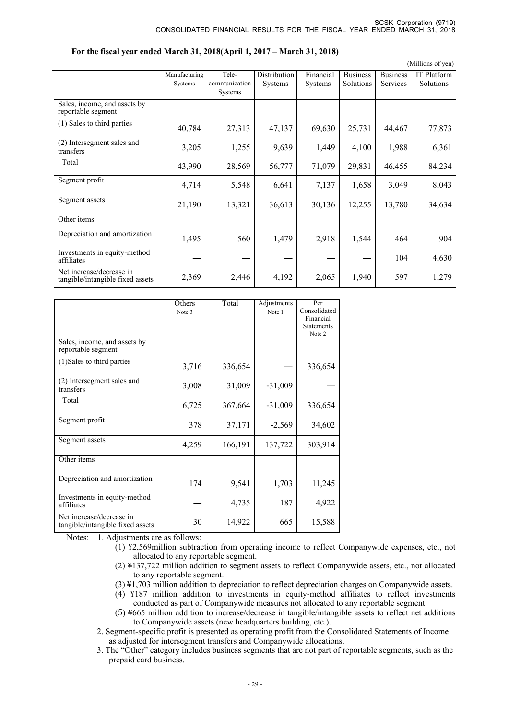|                                                              |               |                |                |                |                 |                 | (Millions of yen) |
|--------------------------------------------------------------|---------------|----------------|----------------|----------------|-----------------|-----------------|-------------------|
|                                                              | Manufacturing | Tele-          | Distribution   | Financial      | <b>Business</b> | <b>Business</b> | IT Platform       |
|                                                              | Systems       | communication  | <b>Systems</b> | <b>Systems</b> | Solutions       | Services        | Solutions         |
|                                                              |               | <b>Systems</b> |                |                |                 |                 |                   |
| Sales, income, and assets by<br>reportable segment           |               |                |                |                |                 |                 |                   |
| (1) Sales to third parties                                   | 40,784        | 27,313         | 47,137         | 69,630         | 25,731          | 44,467          | 77,873            |
| (2) Intersegment sales and<br>transfers                      | 3,205         | 1,255          | 9,639          | 1,449          | 4,100           | 1,988           | 6,361             |
| Total                                                        | 43,990        | 28,569         | 56,777         | 71,079         | 29,831          | 46,455          | 84,234            |
| Segment profit                                               | 4,714         | 5,548          | 6,641          | 7,137          | 1,658           | 3,049           | 8,043             |
| Segment assets                                               | 21,190        | 13,321         | 36,613         | 30,136         | 12,255          | 13,780          | 34,634            |
| Other items                                                  |               |                |                |                |                 |                 |                   |
| Depreciation and amortization                                | 1,495         | 560            | 1,479          | 2,918          | 1,544           | 464             | 904               |
| Investments in equity-method<br>affiliates                   |               |                |                |                |                 | 104             | 4,630             |
| Net increase/decrease in<br>tangible/intangible fixed assets | 2,369         | 2,446          | 4,192          | 2,065          | 1,940           | 597             | 1,279             |

| For the fiscal year ended March 31, 2018(April 1, 2017 – March 31, 2018) |
|--------------------------------------------------------------------------|
|--------------------------------------------------------------------------|

|                                                              | Others<br>Note 3 | Total   | Adjustments<br>Note 1 | Per<br>Consolidated<br>Financial<br><b>Statements</b><br>Note 2 |
|--------------------------------------------------------------|------------------|---------|-----------------------|-----------------------------------------------------------------|
| Sales, income, and assets by<br>reportable segment           |                  |         |                       |                                                                 |
| (1) Sales to third parties                                   | 3,716            | 336,654 |                       | 336,654                                                         |
| (2) Intersegment sales and<br>transfers                      | 3,008            | 31,009  | $-31,009$             |                                                                 |
| Total                                                        | 6,725            | 367,664 | $-31,009$             | 336,654                                                         |
| Segment profit                                               | 378              | 37,171  | $-2,569$              | 34,602                                                          |
| Segment assets                                               | 4,259            | 166,191 | 137,722               | 303,914                                                         |
| Other items                                                  |                  |         |                       |                                                                 |
| Depreciation and amortization                                | 174              | 9,541   | 1,703                 | 11,245                                                          |
| Investments in equity-method<br>affiliates                   |                  | 4,735   | 187                   | 4,922                                                           |
| Net increase/decrease in<br>tangible/intangible fixed assets | 30               | 14,922  | 665                   | 15,588                                                          |

Notes: 1. Adjustments are as follows:

(1) ¥2,569million subtraction from operating income to reflect Companywide expenses, etc., not allocated to any reportable segment.

- (2) ¥137,722 million addition to segment assets to reflect Companywide assets, etc., not allocated to any reportable segment.
- (3) ¥1,703 million addition to depreciation to reflect depreciation charges on Companywide assets.
- (4) ¥187 million addition to investments in equity-method affiliates to reflect investments conducted as part of Companywide measures not allocated to any reportable segment
- (5) ¥665 million addition to increase/decrease in tangible/intangible assets to reflect net additions to Companywide assets (new headquarters building, etc.).
- 2. Segment-specific profit is presented as operating profit from the Consolidated Statements of Income as adjusted for intersegment transfers and Companywide allocations.
- 3. The "Other" category includes business segments that are not part of reportable segments, such as the prepaid card business.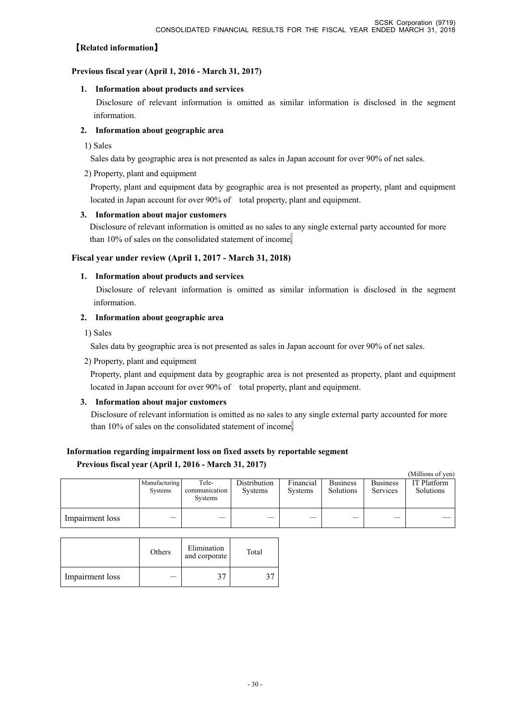### 【**Related information**】

### **Previous fiscal year (April 1, 2016 - March 31, 2017)**

### **1. Information about products and services**

 Disclosure of relevant information is omitted as similar information is disclosed in the segment information.

### **2. Information about geographic area**

1) Sales

Sales data by geographic area is not presented as sales in Japan account for over 90% of net sales.

### 2) Property, plant and equipment

Property, plant and equipment data by geographic area is not presented as property, plant and equipment located in Japan account for over 90% of total property, plant and equipment.

### **3. Information about major customers**

 Disclosure of relevant information is omitted as no sales to any single external party accounted for more than 10% of sales on the consolidated statement of income.

### **Fiscal year under review (April 1, 2017 - March 31, 2018)**

### **1. Information about products and services**

 Disclosure of relevant information is omitted as similar information is disclosed in the segment information.

### **2. Information about geographic area**

1) Sales

Sales data by geographic area is not presented as sales in Japan account for over 90% of net sales.

2) Property, plant and equipment

Property, plant and equipment data by geographic area is not presented as property, plant and equipment located in Japan account for over 90% of total property, plant and equipment.

### **3. Information about major customers**

Disclosure of relevant information is omitted as no sales to any single external party accounted for more than 10% of sales on the consolidated statement of income.

# **Information regarding impairment loss on fixed assets by reportable segment**

### **Previous fiscal year (April 1, 2016 - March 31, 2017)**

|                 |                          |                                   |                                |                             |                              |                             | (Millions of yen)               |
|-----------------|--------------------------|-----------------------------------|--------------------------------|-----------------------------|------------------------------|-----------------------------|---------------------------------|
|                 | Manufacturing<br>Systems | Tele-<br>communication<br>Systems | Distribution<br><b>Systems</b> | Financial<br><b>Systems</b> | <b>Business</b><br>Solutions | <b>Business</b><br>Services | <b>IT Platform</b><br>Solutions |
| Impairment loss |                          |                                   |                                |                             |                              |                             |                                 |

|                 | Others | Elimination<br>and corporate | Total |
|-----------------|--------|------------------------------|-------|
| Impairment loss |        |                              |       |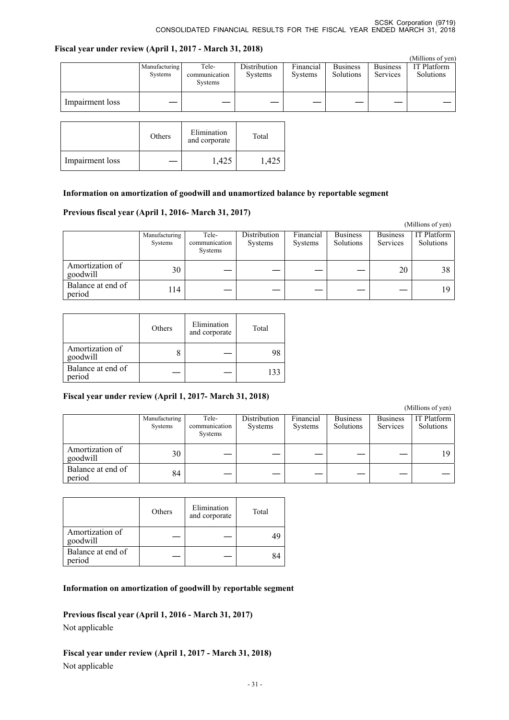### **Fiscal year under review (April 1, 2017 - March 31, 2018)**

|                 |                          |                                          |                                |                             |                              |                             | (Millions of yen)        |
|-----------------|--------------------------|------------------------------------------|--------------------------------|-----------------------------|------------------------------|-----------------------------|--------------------------|
|                 | Manufacturing<br>Systems | Tele-<br>communication<br><b>Systems</b> | Distribution<br><b>Systems</b> | Financial<br><b>Systems</b> | <b>Business</b><br>Solutions | <b>Business</b><br>Services | IT Platform<br>Solutions |
| Impairment loss |                          |                                          |                                |                             |                              |                             |                          |

|                 | Others | Elimination<br>and corporate | Total |
|-----------------|--------|------------------------------|-------|
| Impairment loss |        | 1,425                        |       |

### **Information on amortization of goodwill and unamortized balance by reportable segment**

### **Previous fiscal year (April 1, 2016- March 31, 2017)**

|                             |                          |                                   |                                |                      |                              |                             | (Millions of yen)        |
|-----------------------------|--------------------------|-----------------------------------|--------------------------------|----------------------|------------------------------|-----------------------------|--------------------------|
|                             | Manufacturing<br>Systems | Tele-<br>communication<br>Systems | Distribution<br><b>Systems</b> | Financial<br>Systems | <b>Business</b><br>Solutions | <b>Business</b><br>Services | IT Platform<br>Solutions |
| Amortization of<br>goodwill | 30                       |                                   |                                |                      |                              | 20                          | 38                       |
| Balance at end of<br>period | 14                       |                                   |                                |                      |                              |                             | 19                       |

|                             | Others | Elimination<br>and corporate | Total |
|-----------------------------|--------|------------------------------|-------|
| Amortization of<br>goodwill |        |                              |       |
| Balance at end of<br>period |        |                              |       |

#### **Fiscal year under review (April 1, 2017- March 31, 2018)**

 (Millions of yen) Manufacturing Systems Telecommunication Systems **Distribution** Systems Financial Systems Business Solutions Business Services IT Platform Solutions Amortization of<br>goodwill Alliotuzation of  $\begin{vmatrix} 30 & - & - & - & - & - & - & 19 \end{vmatrix}$ Balance at end of Datance at end of  $\begin{vmatrix} 84 \end{vmatrix}$   $-$ 

|                             | Others | Elimination<br>and corporate | Total |
|-----------------------------|--------|------------------------------|-------|
| Amortization of<br>goodwill |        |                              |       |
| Balance at end of<br>period |        |                              |       |

### **Information on amortization of goodwill by reportable segment**

**Previous fiscal year (April 1, 2016 - March 31, 2017)** 

Not applicable

**Fiscal year under review (April 1, 2017 - March 31, 2018)**  Not applicable